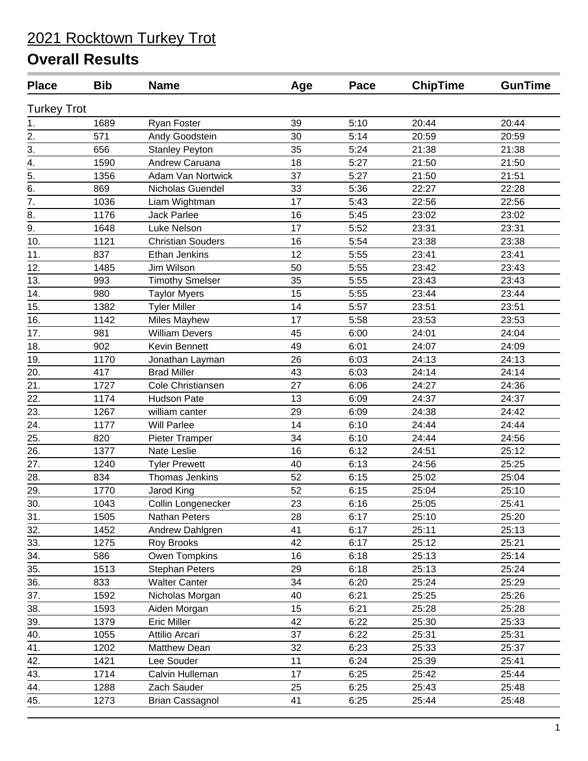| <b>Place</b>       | <b>Bib</b> | <b>Name</b>              | Age | Pace | <b>ChipTime</b> | <b>GunTime</b> |
|--------------------|------------|--------------------------|-----|------|-----------------|----------------|
| <b>Turkey Trot</b> |            |                          |     |      |                 |                |
| 1.                 | 1689       | <b>Ryan Foster</b>       | 39  | 5:10 | 20:44           | 20:44          |
| $\overline{2}$ .   | 571        | Andy Goodstein           | 30  | 5:14 | 20:59           | 20:59          |
| 3.                 | 656        | <b>Stanley Peyton</b>    | 35  | 5:24 | 21:38           | 21:38          |
| 4.                 | 1590       | Andrew Caruana           | 18  | 5:27 | 21:50           | 21:50          |
| $\overline{5}$ .   | 1356       | Adam Van Nortwick        | 37  | 5:27 | 21:50           | 21:51          |
| 6.                 | 869        | Nicholas Guendel         | 33  | 5:36 | 22:27           | 22:28          |
| $\overline{7}$ .   | 1036       | Liam Wightman            | 17  | 5:43 | 22:56           | 22:56          |
| 8.                 | 1176       | <b>Jack Parlee</b>       | 16  | 5:45 | 23:02           | 23:02          |
| 9.                 | 1648       | Luke Nelson              | 17  | 5:52 | 23:31           | 23:31          |
| 10.                | 1121       | <b>Christian Souders</b> | 16  | 5:54 | 23:38           | 23:38          |
| 11.                | 837        | Ethan Jenkins            | 12  | 5:55 | 23:41           | 23:41          |
| 12.                | 1485       | Jim Wilson               | 50  | 5:55 | 23:42           | 23:43          |
| 13.                | 993        | <b>Timothy Smelser</b>   | 35  | 5:55 | 23:43           | 23:43          |
| 14.                | 980        | <b>Taylor Myers</b>      | 15  | 5:55 | 23:44           | 23:44          |
| 15.                | 1382       | <b>Tyler Miller</b>      | 14  | 5:57 | 23:51           | 23:51          |
| 16.                | 1142       | Miles Mayhew             | 17  | 5:58 | 23:53           | 23:53          |
| 17.                | 981        | <b>William Devers</b>    | 45  | 6:00 | 24:01           | 24:04          |
| 18.                | 902        | Kevin Bennett            | 49  | 6:01 | 24:07           | 24:09          |
| 19.                | 1170       | Jonathan Layman          | 26  | 6:03 | 24:13           | 24:13          |
| 20.                | 417        | <b>Brad Miller</b>       | 43  | 6:03 | 24:14           | 24:14          |
| 21.                | 1727       | Cole Christiansen        | 27  | 6:06 | 24:27           | 24:36          |
| 22.                | 1174       | <b>Hudson Pate</b>       | 13  | 6:09 | 24:37           | 24:37          |
| 23.                | 1267       | william canter           | 29  | 6:09 | 24:38           | 24:42          |
| 24.                | 1177       | <b>Will Parlee</b>       | 14  | 6:10 | 24:44           | 24:44          |
| 25.                | 820        | Pieter Tramper           | 34  | 6:10 | 24:44           | 24:56          |
| 26.                | 1377       | Nate Leslie              | 16  | 6:12 | 24:51           | 25:12          |
| 27.                | 1240       | <b>Tyler Prewett</b>     | 40  | 6:13 | 24:56           | 25:25          |
| 28.                | 834        | Thomas Jenkins           | 52  | 6:15 | 25:02           | 25:04          |
| 29.                | 1770       | Jarod King               | 52  | 6:15 | 25:04           | 25:10          |
| 30.                | 1043       | Collin Longenecker       | 23  | 6:16 | 25:05           | 25:41          |
| 31.                | 1505       | Nathan Peters            | 28  | 6:17 | 25:10           | 25:20          |
| 32.                | 1452       | Andrew Dahlgren          | 41  | 6:17 | 25:11           | 25:13          |
| 33.                | 1275       | <b>Roy Brooks</b>        | 42  | 6:17 | 25:12           | 25:21          |
| 34.                | 586        | Owen Tompkins            | 16  | 6:18 | 25:13           | 25:14          |
| 35.                | 1513       | <b>Stephan Peters</b>    | 29  | 6:18 | 25:13           | 25:24          |
| 36.                | 833        | <b>Walter Canter</b>     | 34  | 6:20 | 25:24           | 25:29          |
| 37.                | 1592       | Nicholas Morgan          | 40  | 6:21 | 25:25           | 25:26          |
| 38.                | 1593       | Aiden Morgan             | 15  | 6:21 | 25:28           | 25:28          |
| 39.                | 1379       | <b>Eric Miller</b>       | 42  | 6:22 | 25:30           | 25:33          |
| 40.                | 1055       | Attilio Arcari           | 37  | 6:22 | 25:31           | 25:31          |
| 41.                | 1202       | Matthew Dean             | 32  | 6:23 | 25:33           | 25:37          |
| 42.                | 1421       | Lee Souder               | 11  | 6:24 | 25:39           | 25:41          |
| 43.                | 1714       | Calvin Hulleman          | 17  | 6:25 | 25:42           | 25:44          |
| 44.                | 1288       | Zach Sauder              | 25  | 6:25 | 25:43           | 25:48          |
| 45.                | 1273       | <b>Brian Cassagnol</b>   | 41  | 6:25 | 25:44           | 25:48          |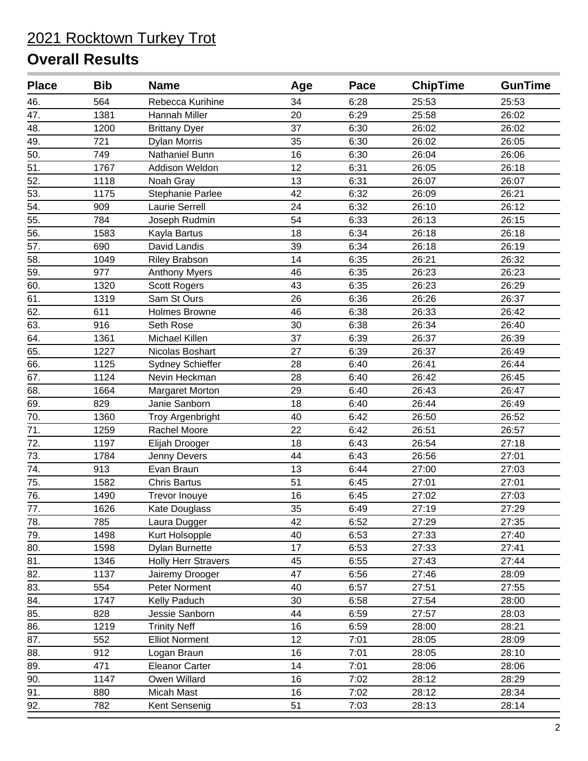| <b>Place</b> | <b>Bib</b> | <b>Name</b>                | Age | Pace | <b>ChipTime</b> | <b>GunTime</b> |
|--------------|------------|----------------------------|-----|------|-----------------|----------------|
| 46.          | 564        | Rebecca Kurihine           | 34  | 6:28 | 25:53           | 25:53          |
| 47.          | 1381       | Hannah Miller              | 20  | 6:29 | 25:58           | 26:02          |
| 48.          | 1200       | <b>Brittany Dyer</b>       | 37  | 6:30 | 26:02           | 26:02          |
| 49.          | 721        | <b>Dylan Morris</b>        | 35  | 6:30 | 26:02           | 26:05          |
| 50.          | 749        | Nathaniel Bunn             | 16  | 6:30 | 26:04           | 26:06          |
| 51.          | 1767       | Addison Weldon             | 12  | 6:31 | 26:05           | 26:18          |
| 52.          | 1118       | Noah Gray                  | 13  | 6:31 | 26:07           | 26:07          |
| 53.          | 1175       | Stephanie Parlee           | 42  | 6:32 | 26:09           | 26:21          |
| 54.          | 909        | <b>Laurie Serrell</b>      | 24  | 6:32 | 26:10           | 26:12          |
| 55.          | 784        | Joseph Rudmin              | 54  | 6:33 | 26:13           | 26:15          |
| 56.          | 1583       | Kayla Bartus               | 18  | 6:34 | 26:18           | 26:18          |
| 57.          | 690        | David Landis               | 39  | 6:34 | 26:18           | 26:19          |
| 58.          | 1049       | <b>Riley Brabson</b>       | 14  | 6:35 | 26:21           | 26:32          |
| 59.          | 977        | <b>Anthony Myers</b>       | 46  | 6:35 | 26:23           | 26:23          |
| 60.          | 1320       | <b>Scott Rogers</b>        | 43  | 6:35 | 26:23           | 26:29          |
| 61.          | 1319       | Sam St Ours                | 26  | 6:36 | 26:26           | 26:37          |
| 62.          | 611        | Holmes Browne              | 46  | 6:38 | 26:33           | 26:42          |
| 63.          | 916        | Seth Rose                  | 30  | 6:38 | 26:34           | 26:40          |
| 64.          | 1361       | Michael Killen             | 37  | 6:39 | 26:37           | 26:39          |
| 65.          | 1227       | Nicolas Boshart            | 27  | 6:39 | 26:37           | 26:49          |
| 66.          | 1125       | Sydney Schieffer           | 28  | 6:40 | 26:41           | 26:44          |
| 67.          | 1124       | Nevin Heckman              | 28  | 6:40 | 26:42           | 26:45          |
| 68.          | 1664       | Margaret Morton            | 29  | 6:40 | 26:43           | 26:47          |
| 69.          | 829        | Janie Sanborn              | 18  | 6:40 | 26:44           | 26:49          |
| 70.          | 1360       | Troy Argenbright           | 40  | 6:42 | 26:50           | 26:52          |
| 71.          | 1259       | Rachel Moore               | 22  | 6:42 | 26:51           | 26:57          |
| 72.          | 1197       | Elijah Drooger             | 18  | 6:43 | 26:54           | 27:18          |
| 73.          | 1784       | Jenny Devers               | 44  | 6:43 | 26:56           | 27:01          |
| 74.          | 913        | Evan Braun                 | 13  | 6:44 | 27:00           | 27:03          |
| 75.          | 1582       | <b>Chris Bartus</b>        | 51  | 6:45 | 27:01           | 27:01          |
| 76.          | 1490       | Trevor Inouye              | 16  | 6:45 | 27:02           | 27:03          |
| 77.          | 1626       | Kate Douglass              | 35  | 6:49 | 27:19           | 27:29          |
| 78.          | 785        | Laura Dugger               | 42  | 6:52 | 27:29           | 27:35          |
| 79.          | 1498       | Kurt Holsopple             | 40  | 6:53 | 27:33           | 27:40          |
| 80.          | 1598       | <b>Dylan Burnette</b>      | 17  | 6:53 | 27:33           | 27:41          |
| 81.          | 1346       | <b>Holly Herr Stravers</b> | 45  | 6:55 | 27:43           | 27:44          |
| 82.          | 1137       | Jairemy Drooger            | 47  | 6:56 | 27:46           | 28:09          |
| 83.          | 554        | Peter Norment              | 40  | 6:57 | 27:51           | 27:55          |
| 84.          | 1747       | Kelly Paduch               | 30  | 6:58 | 27:54           | 28:00          |
| 85.          | 828        | Jessie Sanborn             | 44  | 6:59 | 27:57           | 28:03          |
| 86.          | 1219       | <b>Trinity Neff</b>        | 16  | 6:59 | 28:00           | 28:21          |
| 87.          | 552        | <b>Elliot Norment</b>      | 12  | 7:01 | 28:05           | 28:09          |
| 88.          | 912        | Logan Braun                | 16  | 7:01 | 28:05           | 28:10          |
| 89.          | 471        | <b>Eleanor Carter</b>      | 14  | 7:01 | 28:06           | 28:06          |
| 90.          | 1147       | Owen Willard               | 16  | 7:02 | 28:12           | 28:29          |
| 91.          | 880        | Micah Mast                 | 16  | 7:02 | 28:12           | 28:34          |
| 92.          | 782        | Kent Sensenig              | 51  | 7:03 | 28:13           | 28:14          |
|              |            |                            |     |      |                 |                |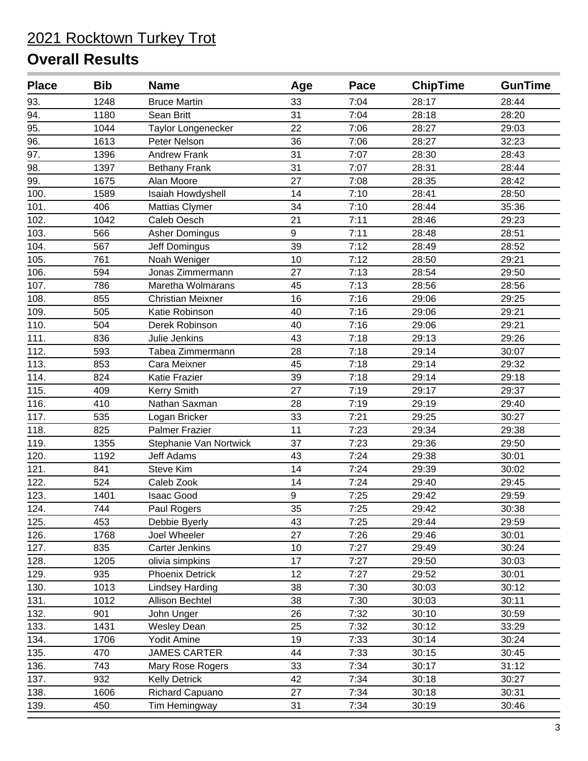| <b>Place</b> | <b>Bib</b> | <b>Name</b>              | Age | Pace | <b>ChipTime</b> | <b>GunTime</b> |
|--------------|------------|--------------------------|-----|------|-----------------|----------------|
| 93.          | 1248       | <b>Bruce Martin</b>      | 33  | 7:04 | 28:17           | 28:44          |
| 94.          | 1180       | Sean Britt               | 31  | 7:04 | 28:18           | 28:20          |
| 95.          | 1044       | Taylor Longenecker       | 22  | 7:06 | 28:27           | 29:03          |
| 96.          | 1613       | Peter Nelson             | 36  | 7:06 | 28:27           | 32:23          |
| 97.          | 1396       | <b>Andrew Frank</b>      | 31  | 7:07 | 28:30           | 28:43          |
| 98.          | 1397       | <b>Bethany Frank</b>     | 31  | 7:07 | 28:31           | 28:44          |
| 99.          | 1675       | Alan Moore               | 27  | 7:08 | 28:35           | 28:42          |
| 100.         | 1589       | Isaiah Howdyshell        | 14  | 7:10 | 28:41           | 28:50          |
| 101.         | 406        | Mattias Clymer           | 34  | 7:10 | 28:44           | 35:36          |
| 102.         | 1042       | Caleb Oesch              | 21  | 7:11 | 28:46           | 29:23          |
| 103.         | 566        | <b>Asher Domingus</b>    | 9   | 7:11 | 28:48           | 28:51          |
| 104.         | 567        | Jeff Domingus            | 39  | 7:12 | 28:49           | 28:52          |
| 105.         | 761        | Noah Weniger             | 10  | 7:12 | 28:50           | 29:21          |
| 106.         | 594        | Jonas Zimmermann         | 27  | 7:13 | 28:54           | 29:50          |
| 107.         | 786        | Maretha Wolmarans        | 45  | 7:13 | 28:56           | 28:56          |
| 108.         | 855        | <b>Christian Meixner</b> | 16  | 7:16 | 29:06           | 29:25          |
| 109.         | 505        | Katie Robinson           | 40  | 7:16 | 29:06           | 29:21          |
| 110.         | 504        | Derek Robinson           | 40  | 7:16 | 29:06           | 29:21          |
| 111.         | 836        | Julie Jenkins            | 43  | 7:18 | 29:13           | 29:26          |
| 112.         | 593        | Tabea Zimmermann         | 28  | 7:18 | 29:14           | 30:07          |
| 113.         | 853        | Cara Meixner             | 45  | 7:18 | 29:14           | 29:32          |
| 114.         | 824        | Katie Frazier            | 39  | 7:18 | 29:14           | 29:18          |
| 115.         | 409        | <b>Kerry Smith</b>       | 27  | 7:19 | 29:17           | 29:37          |
| 116.         | 410        | Nathan Saxman            | 28  | 7:19 | 29:19           | 29:40          |
| 117.         | 535        | Logan Bricker            | 33  | 7:21 | 29:25           | 30:27          |
| 118.         | 825        | <b>Palmer Frazier</b>    | 11  | 7:23 | 29:34           | 29:38          |
| 119.         | 1355       | Stephanie Van Nortwick   | 37  | 7:23 | 29:36           | 29:50          |
| 120.         | 1192       | <b>Jeff Adams</b>        | 43  | 7:24 | 29:38           | 30:01          |
| 121.         | 841        | Steve Kim                | 14  | 7:24 | 29:39           | 30:02          |
| 122.         | 524        | Caleb Zook               | 14  | 7:24 | 29:40           | 29:45          |
| 123.         | 1401       | <b>Isaac Good</b>        | 9   | 7:25 | 29:42           | 29:59          |
| 124.         | 744        | Paul Rogers              | 35  | 7:25 | 29:42           | 30:38          |
| 125.         | 453        | Debbie Byerly            | 43  | 7:25 | 29:44           | 29:59          |
| 126.         | 1768       | Joel Wheeler             | 27  | 7:26 | 29:46           | 30:01          |
| 127.         | 835        | <b>Carter Jenkins</b>    | 10  | 7:27 | 29:49           | 30:24          |
| 128.         | 1205       | olivia simpkins          | 17  | 7:27 | 29:50           | 30:03          |
| 129.         | 935        | <b>Phoenix Detrick</b>   | 12  | 7:27 | 29:52           | 30:01          |
| 130.         | 1013       | <b>Lindsey Harding</b>   | 38  | 7:30 | 30:03           | 30:12          |
| 131.         | 1012       | Allison Bechtel          | 38  | 7:30 | 30:03           | 30:11          |
| 132.         | 901        | John Unger               | 26  | 7:32 | 30:10           | 30:59          |
| 133.         | 1431       | <b>Wesley Dean</b>       | 25  | 7:32 | 30:12           | 33:29          |
| 134.         | 1706       | Yodit Amine              | 19  | 7:33 | 30:14           | 30:24          |
| 135.         | 470        | <b>JAMES CARTER</b>      | 44  | 7:33 | 30:15           | 30:45          |
| 136.         | 743        | Mary Rose Rogers         | 33  | 7:34 | 30:17           | 31:12          |
| 137.         | 932        | <b>Kelly Detrick</b>     | 42  | 7:34 | 30:18           | 30:27          |
| 138.         | 1606       | Richard Capuano          | 27  | 7:34 | 30:18           | 30:31          |
| 139.         | 450        | Tim Hemingway            | 31  | 7:34 | 30:19           | 30:46          |
|              |            |                          |     |      |                 |                |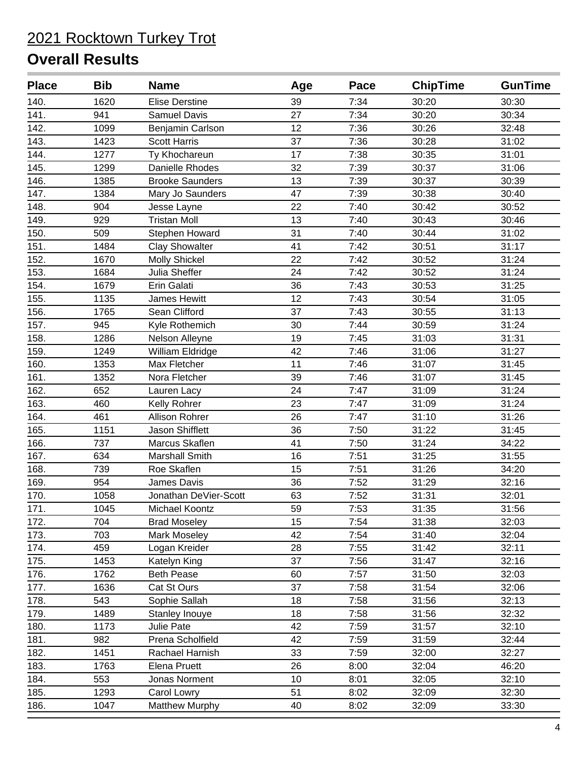| <b>Place</b> | <b>Bib</b> | <b>Name</b>            | Age | Pace | <b>ChipTime</b> | <b>GunTime</b> |
|--------------|------------|------------------------|-----|------|-----------------|----------------|
| 140.         | 1620       | <b>Elise Derstine</b>  | 39  | 7:34 | 30:20           | 30:30          |
| 141.         | 941        | <b>Samuel Davis</b>    | 27  | 7:34 | 30:20           | 30:34          |
| 142.         | 1099       | Benjamin Carlson       | 12  | 7:36 | 30:26           | 32:48          |
| 143.         | 1423       | <b>Scott Harris</b>    | 37  | 7:36 | 30:28           | 31:02          |
| 144.         | 1277       | Ty Khochareun          | 17  | 7:38 | 30:35           | 31:01          |
| 145.         | 1299       | Danielle Rhodes        | 32  | 7:39 | 30:37           | 31:06          |
| 146.         | 1385       | <b>Brooke Saunders</b> | 13  | 7:39 | 30:37           | 30:39          |
| 147.         | 1384       | Mary Jo Saunders       | 47  | 7:39 | 30:38           | 30:40          |
| 148.         | 904        | Jesse Layne            | 22  | 7:40 | 30:42           | 30:52          |
| 149.         | 929        | <b>Tristan Moll</b>    | 13  | 7:40 | 30:43           | 30:46          |
| 150.         | 509        | Stephen Howard         | 31  | 7:40 | 30:44           | 31:02          |
| 151.         | 1484       | <b>Clay Showalter</b>  | 41  | 7:42 | 30:51           | 31:17          |
| 152.         | 1670       | <b>Molly Shickel</b>   | 22  | 7:42 | 30:52           | 31:24          |
| 153.         | 1684       | Julia Sheffer          | 24  | 7:42 | 30:52           | 31:24          |
| 154.         | 1679       | Erin Galati            | 36  | 7:43 | 30:53           | 31:25          |
| 155.         | 1135       | James Hewitt           | 12  | 7:43 | 30:54           | 31:05          |
| 156.         | 1765       | Sean Clifford          | 37  | 7:43 | 30:55           | 31:13          |
| 157.         | 945        | Kyle Rothemich         | 30  | 7:44 | 30:59           | 31:24          |
| 158.         | 1286       | Nelson Alleyne         | 19  | 7:45 | 31:03           | 31:31          |
| 159.         | 1249       | William Eldridge       | 42  | 7:46 | 31:06           | 31:27          |
| 160.         | 1353       | Max Fletcher           | 11  | 7:46 | 31:07           | 31:45          |
| 161.         | 1352       | Nora Fletcher          | 39  | 7:46 | 31:07           | 31:45          |
| 162.         | 652        | Lauren Lacy            | 24  | 7:47 | 31:09           | 31:24          |
| 163.         | 460        | Kelly Rohrer           | 23  | 7:47 | 31:09           | 31:24          |
| 164.         | 461        | Allison Rohrer         | 26  | 7:47 | 31:10           | 31:26          |
| 165.         | 1151       | Jason Shifflett        | 36  | 7:50 | 31:22           | 31:45          |
| 166.         | 737        | Marcus Skaflen         | 41  | 7:50 | 31:24           | 34:22          |
| 167.         | 634        | <b>Marshall Smith</b>  | 16  | 7:51 | 31:25           | 31:55          |
| 168.         | 739        | Roe Skaflen            | 15  | 7:51 | 31:26           | 34:20          |
| 169.         | 954        | James Davis            | 36  | 7:52 | 31:29           | 32:16          |
| 170.         | 1058       | Jonathan DeVier-Scott  | 63  | 7:52 | 31:31           | 32:01          |
| 171.         | 1045       | Michael Koontz         | 59  | 7:53 | 31:35           | 31:56          |
| 172.         | 704        | <b>Brad Moseley</b>    | 15  | 7:54 | 31:38           | 32:03          |
| 173.         | 703        | Mark Moseley           | 42  | 7:54 | 31:40           | 32:04          |
| 174.         | 459        | Logan Kreider          | 28  | 7:55 | 31:42           | 32:11          |
| 175.         | 1453       | Katelyn King           | 37  | 7:56 | 31:47           | 32:16          |
| 176.         | 1762       | <b>Beth Pease</b>      | 60  | 7:57 | 31:50           | 32:03          |
| 177.         | 1636       | Cat St Ours            | 37  | 7:58 | 31:54           | 32:06          |
| 178.         | 543        | Sophie Sallah          | 18  | 7:58 | 31:56           | 32:13          |
| 179.         | 1489       | Stanley Inouye         | 18  | 7:58 | 31:56           | 32:32          |
| 180.         | 1173       | Julie Pate             | 42  | 7:59 | 31:57           | 32:10          |
| 181.         | 982        | Prena Scholfield       | 42  | 7:59 | 31:59           | 32:44          |
| 182.         | 1451       | Rachael Harnish        | 33  | 7:59 | 32:00           | 32:27          |
| 183.         | 1763       | <b>Elena Pruett</b>    | 26  | 8:00 | 32:04           | 46:20          |
| 184.         | 553        | Jonas Norment          | 10  | 8:01 | 32:05           | 32:10          |
| 185.         | 1293       | Carol Lowry            | 51  | 8:02 | 32:09           | 32:30          |
| 186.         | 1047       | <b>Matthew Murphy</b>  | 40  | 8:02 | 32:09           | 33:30          |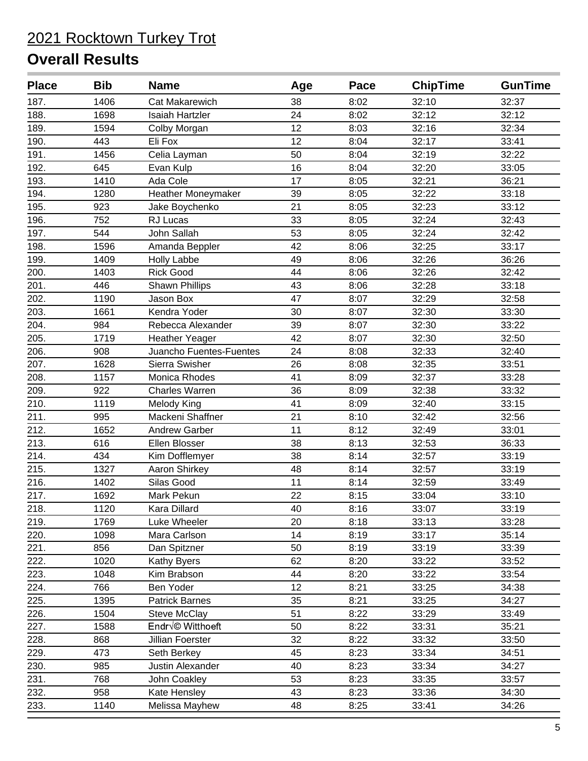| <b>Place</b> | <b>Bib</b> | <b>Name</b>             | Age | Pace | <b>ChipTime</b> | <b>GunTime</b> |
|--------------|------------|-------------------------|-----|------|-----------------|----------------|
| 187.         | 1406       | <b>Cat Makarewich</b>   | 38  | 8:02 | 32:10           | 32:37          |
| 188.         | 1698       | <b>Isaiah Hartzler</b>  | 24  | 8:02 | 32:12           | 32:12          |
| 189.         | 1594       | Colby Morgan            | 12  | 8:03 | 32:16           | 32:34          |
| 190.         | 443        | Eli Fox                 | 12  | 8:04 | 32:17           | 33:41          |
| 191.         | 1456       | Celia Layman            | 50  | 8:04 | 32:19           | 32:22          |
| 192.         | 645        | Evan Kulp               | 16  | 8:04 | 32:20           | 33:05          |
| 193.         | 1410       | Ada Cole                | 17  | 8:05 | 32:21           | 36:21          |
| 194.         | 1280       | Heather Moneymaker      | 39  | 8:05 | 32:22           | 33:18          |
| 195.         | 923        | Jake Boychenko          | 21  | 8:05 | 32:23           | 33:12          |
| 196.         | 752        | RJ Lucas                | 33  | 8:05 | 32:24           | 32:43          |
| 197.         | 544        | John Sallah             | 53  | 8:05 | 32:24           | 32:42          |
| 198.         | 1596       | Amanda Beppler          | 42  | 8:06 | 32:25           | 33:17          |
| 199.         | 1409       | <b>Holly Labbe</b>      | 49  | 8:06 | 32:26           | 36:26          |
| 200.         | 1403       | <b>Rick Good</b>        | 44  | 8:06 | 32:26           | 32:42          |
| 201.         | 446        | Shawn Phillips          | 43  | 8:06 | 32:28           | 33:18          |
| 202.         | 1190       | Jason Box               | 47  | 8:07 | 32:29           | 32:58          |
| 203.         | 1661       | Kendra Yoder            | 30  | 8:07 | 32:30           | 33:30          |
| 204.         | 984        | Rebecca Alexander       | 39  | 8:07 | 32:30           | 33:22          |
| 205.         | 1719       | <b>Heather Yeager</b>   | 42  | 8:07 | 32:30           | 32:50          |
| 206.         | 908        | Juancho Fuentes-Fuentes | 24  | 8:08 | 32:33           | 32:40          |
| 207.         | 1628       | Sierra Swisher          | 26  | 8:08 | 32:35           | 33:51          |
| 208.         | 1157       | Monica Rhodes           | 41  | 8:09 | 32:37           | 33:28          |
| 209.         | 922        | <b>Charles Warren</b>   | 36  | 8:09 | 32:38           | 33:32          |
| 210.         | 1119       | Melody King             | 41  | 8:09 | 32:40           | 33:15          |
| 211.         | 995        | Mackeni Shaffner        | 21  | 8:10 | 32:42           | 32:56          |
| 212.         | 1652       | <b>Andrew Garber</b>    | 11  | 8:12 | 32:49           | 33:01          |
| 213.         | 616        | Ellen Blosser           | 38  | 8:13 | 32:53           | 36:33          |
| 214.         | 434        | Kim Dofflemyer          | 38  | 8:14 | 32:57           | 33:19          |
| 215.         | 1327       | Aaron Shirkey           | 48  | 8:14 | 32:57           | 33:19          |
| 216.         | 1402       | Silas Good              | 11  | 8:14 | 32:59           | 33:49          |
| 217.         | 1692       | Mark Pekun              | 22  | 8:15 | 33:04           | 33:10          |
| 218.         | 1120       | Kara Dillard            | 40  | 8:16 | 33:07           | 33:19          |
| 219.         | 1769       | Luke Wheeler            | 20  | 8:18 | 33:13           | 33:28          |
| 220.         | 1098       | Mara Carlson            | 14  | 8:19 | 33:17           | 35:14          |
| 221.         | 856        | Dan Spitzner            | 50  | 8:19 | 33:19           | 33:39          |
| 222.         | 1020       | Kathy Byers             | 62  | 8:20 | 33:22           | 33:52          |
| 223.         | 1048       | Kim Brabson             | 44  | 8:20 | 33:22           | 33:54          |
| 224.         | 766        | Ben Yoder               | 12  | 8:21 | 33:25           | 34:38          |
| 225.         | 1395       | <b>Patrick Barnes</b>   | 35  | 8:21 | 33:25           | 34:27          |
| 226.         | 1504       | Steve McClay            | 51  | 8:22 | 33:29           | 33:49          |
| 227.         | 1588       | Endré Witthoeft         | 50  | 8:22 | 33:31           | 35:21          |
| 228.         | 868        | Jillian Foerster        | 32  | 8:22 | 33:32           | 33:50          |
| 229.         | 473        | Seth Berkey             | 45  | 8:23 | 33:34           | 34:51          |
| 230.         | 985        | Justin Alexander        | 40  | 8:23 | 33:34           | 34:27          |
| 231.         | 768        | John Coakley            | 53  | 8:23 | 33:35           | 33:57          |
| 232.         | 958        | Kate Hensley            | 43  | 8:23 | 33:36           | 34:30          |
| 233.         | 1140       | Melissa Mayhew          | 48  | 8:25 | 33:41           | 34:26          |
|              |            |                         |     |      |                 |                |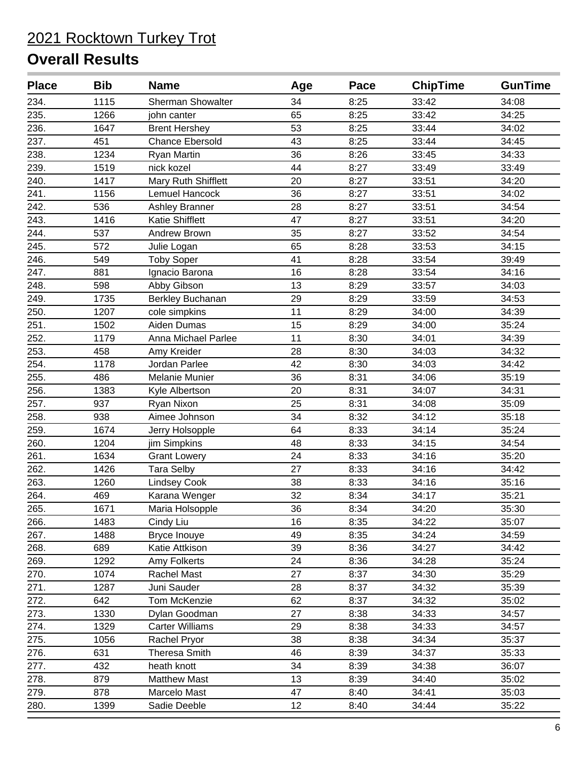| <b>Place</b> | <b>Bib</b> | <b>Name</b>              | Age | Pace | <b>ChipTime</b> | <b>GunTime</b> |
|--------------|------------|--------------------------|-----|------|-----------------|----------------|
| 234.         | 1115       | <b>Sherman Showalter</b> | 34  | 8:25 | 33:42           | 34:08          |
| 235.         | 1266       | john canter              | 65  | 8:25 | 33:42           | 34:25          |
| 236.         | 1647       | <b>Brent Hershey</b>     | 53  | 8:25 | 33:44           | 34:02          |
| 237.         | 451        | <b>Chance Ebersold</b>   | 43  | 8:25 | 33:44           | 34:45          |
| 238.         | 1234       | <b>Ryan Martin</b>       | 36  | 8:26 | 33:45           | 34:33          |
| 239.         | 1519       | nick kozel               | 44  | 8:27 | 33:49           | 33:49          |
| 240.         | 1417       | Mary Ruth Shifflett      | 20  | 8:27 | 33:51           | 34:20          |
| 241.         | 1156       | <b>Lemuel Hancock</b>    | 36  | 8:27 | 33:51           | 34:02          |
| 242.         | 536        | Ashley Branner           | 28  | 8:27 | 33:51           | 34:54          |
| 243.         | 1416       | Katie Shifflett          | 47  | 8:27 | 33:51           | 34:20          |
| 244.         | 537        | Andrew Brown             | 35  | 8:27 | 33:52           | 34:54          |
| 245.         | 572        | Julie Logan              | 65  | 8:28 | 33:53           | 34:15          |
| 246.         | 549        | <b>Toby Soper</b>        | 41  | 8:28 | 33:54           | 39:49          |
| 247.         | 881        | Ignacio Barona           | 16  | 8:28 | 33:54           | 34:16          |
| 248.         | 598        | Abby Gibson              | 13  | 8:29 | 33:57           | 34:03          |
| 249.         | 1735       | Berkley Buchanan         | 29  | 8:29 | 33:59           | 34:53          |
| 250.         | 1207       | cole simpkins            | 11  | 8:29 | 34:00           | 34:39          |
| 251.         | 1502       | Aiden Dumas              | 15  | 8:29 | 34:00           | 35:24          |
| 252.         | 1179       | Anna Michael Parlee      | 11  | 8:30 | 34:01           | 34:39          |
| 253.         | 458        | Amy Kreider              | 28  | 8:30 | 34:03           | 34:32          |
| 254.         | 1178       | Jordan Parlee            | 42  | 8:30 | 34:03           | 34:42          |
| 255.         | 486        | Melanie Munier           | 36  | 8:31 | 34:06           | 35:19          |
| 256.         | 1383       | Kyle Albertson           | 20  | 8:31 | 34:07           | 34:31          |
| 257.         | 937        | Ryan Nixon               | 25  | 8:31 | 34:08           | 35:09          |
| 258.         | 938        | Aimee Johnson            | 34  | 8:32 | 34:12           | 35:18          |
| 259.         | 1674       | Jerry Holsopple          | 64  | 8:33 | 34:14           | 35:24          |
| 260.         | 1204       | jim Simpkins             | 48  | 8:33 | 34:15           | 34:54          |
| 261.         | 1634       | <b>Grant Lowery</b>      | 24  | 8:33 | 34:16           | 35:20          |
| 262.         | 1426       | <b>Tara Selby</b>        | 27  | 8:33 | 34:16           | 34:42          |
| 263.         | 1260       | <b>Lindsey Cook</b>      | 38  | 8:33 | 34:16           | 35:16          |
| 264.         | 469        | Karana Wenger            | 32  | 8:34 | 34:17           | 35:21          |
| 265.         | 1671       | Maria Holsopple          | 36  | 8:34 | 34:20           | 35:30          |
| 266.         | 1483       | Cindy Liu                | 16  | 8:35 | 34:22           | 35:07          |
| 267.         | 1488       | Bryce Inouye             | 49  | 8:35 | 34:24           | 34:59          |
| 268.         | 689        | Katie Attkison           | 39  | 8:36 | 34:27           | 34:42          |
| 269.         | 1292       | Amy Folkerts             | 24  | 8:36 | 34:28           | 35:24          |
| 270.         | 1074       | Rachel Mast              | 27  | 8:37 | 34:30           | 35:29          |
| 271.         | 1287       | Juni Sauder              | 28  | 8:37 | 34:32           | 35:39          |
| 272.         | 642        | Tom McKenzie             | 62  | 8:37 | 34:32           | 35:02          |
| 273.         | 1330       | Dylan Goodman            | 27  | 8:38 | 34:33           | 34:57          |
| 274.         | 1329       | <b>Carter Williams</b>   | 29  | 8:38 | 34:33           | 34:57          |
| 275.         | 1056       | Rachel Pryor             | 38  | 8:38 | 34:34           | 35:37          |
| 276.         | 631        | <b>Theresa Smith</b>     | 46  | 8:39 | 34:37           | 35:33          |
| 277.         | 432        | heath knott              | 34  | 8:39 | 34:38           | 36:07          |
| 278.         | 879        | <b>Matthew Mast</b>      | 13  | 8:39 | 34:40           | 35:02          |
| 279.         | 878        | Marcelo Mast             | 47  | 8:40 | 34:41           | 35:03          |
| 280.         | 1399       | Sadie Deeble             | 12  | 8:40 | 34:44           | 35:22          |
|              |            |                          |     |      |                 |                |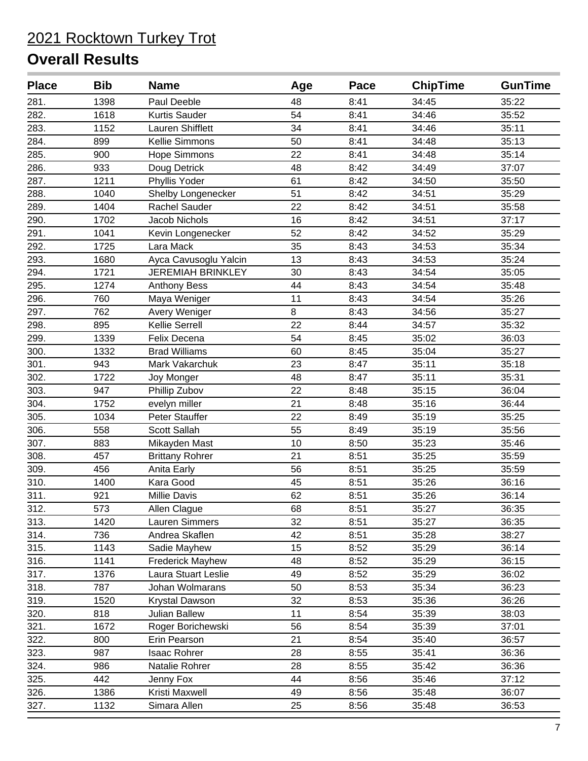| <b>Place</b> | <b>Bib</b> | <b>Name</b>              | Age | Pace | <b>ChipTime</b> | <b>GunTime</b> |
|--------------|------------|--------------------------|-----|------|-----------------|----------------|
| 281.         | 1398       | Paul Deeble              | 48  | 8:41 | 34:45           | 35:22          |
| 282.         | 1618       | Kurtis Sauder            | 54  | 8:41 | 34:46           | 35:52          |
| 283.         | 1152       | Lauren Shifflett         | 34  | 8:41 | 34:46           | 35:11          |
| 284.         | 899        | Kellie Simmons           | 50  | 8:41 | 34:48           | 35:13          |
| 285.         | 900        | <b>Hope Simmons</b>      | 22  | 8:41 | 34:48           | 35:14          |
| 286.         | 933        | Doug Detrick             | 48  | 8:42 | 34:49           | 37:07          |
| 287.         | 1211       | Phyllis Yoder            | 61  | 8:42 | 34:50           | 35:50          |
| 288.         | 1040       | Shelby Longenecker       | 51  | 8:42 | 34:51           | 35:29          |
| 289.         | 1404       | <b>Rachel Sauder</b>     | 22  | 8:42 | 34:51           | 35:58          |
| 290.         | 1702       | Jacob Nichols            | 16  | 8:42 | 34:51           | 37:17          |
| 291.         | 1041       | Kevin Longenecker        | 52  | 8:42 | 34:52           | 35:29          |
| 292.         | 1725       | Lara Mack                | 35  | 8:43 | 34:53           | 35:34          |
| 293.         | 1680       | Ayca Cavusoglu Yalcin    | 13  | 8:43 | 34:53           | 35:24          |
| 294.         | 1721       | <b>JEREMIAH BRINKLEY</b> | 30  | 8:43 | 34:54           | 35:05          |
| 295.         | 1274       | <b>Anthony Bess</b>      | 44  | 8:43 | 34:54           | 35:48          |
| 296.         | 760        | Maya Weniger             | 11  | 8:43 | 34:54           | 35:26          |
| 297.         | 762        | Avery Weniger            | 8   | 8:43 | 34:56           | 35:27          |
| 298.         | 895        | Kellie Serrell           | 22  | 8:44 | 34:57           | 35:32          |
| 299.         | 1339       | Felix Decena             | 54  | 8:45 | 35:02           | 36:03          |
| 300.         | 1332       | <b>Brad Williams</b>     | 60  | 8:45 | 35:04           | 35:27          |
| 301.         | 943        | Mark Vakarchuk           | 23  | 8:47 | 35:11           | 35:18          |
| 302.         | 1722       | Joy Monger               | 48  | 8:47 | 35:11           | 35:31          |
| 303.         | 947        | Phillip Zubov            | 22  | 8:48 | 35:15           | 36:04          |
| 304.         | 1752       | evelyn miller            | 21  | 8:48 | 35:16           | 36:44          |
| 305.         | 1034       | Peter Stauffer           | 22  | 8:49 | 35:19           | 35:25          |
| 306.         | 558        | Scott Sallah             | 55  | 8:49 | 35:19           | 35:56          |
| 307.         | 883        | Mikayden Mast            | 10  | 8:50 | 35:23           | 35:46          |
| 308.         | 457        | <b>Brittany Rohrer</b>   | 21  | 8:51 | 35:25           | 35:59          |
| 309.         | 456        | Anita Early              | 56  | 8:51 | 35:25           | 35:59          |
| 310.         | 1400       | Kara Good                | 45  | 8:51 | 35:26           | 36:16          |
| 311.         | 921        | Millie Davis             | 62  | 8:51 | 35:26           | 36:14          |
| 312.         | 573        | Allen Clague             | 68  | 8:51 | 35:27           | 36:35          |
| 313.         | 1420       | Lauren Simmers           | 32  | 8:51 | 35:27           | 36:35          |
| 314.         | 736        | Andrea Skaflen           | 42  | 8:51 | 35:28           | 38:27          |
| 315.         | 1143       | Sadie Mayhew             | 15  | 8:52 | 35:29           | 36:14          |
| 316.         | 1141       | <b>Frederick Mayhew</b>  | 48  | 8:52 | 35:29           | 36:15          |
| 317.         | 1376       | Laura Stuart Leslie      | 49  | 8:52 | 35:29           | 36:02          |
| 318.         | 787        | Johan Wolmarans          | 50  | 8:53 | 35:34           | 36:23          |
| 319.         | 1520       | Krystal Dawson           | 32  | 8:53 | 35:36           | 36:26          |
| 320.         | 818        | <b>Julian Ballew</b>     | 11  | 8:54 | 35:39           | 38:03          |
| 321.         | 1672       | Roger Borichewski        | 56  | 8:54 | 35:39           | 37:01          |
| 322.         | 800        | Erin Pearson             | 21  | 8:54 | 35:40           | 36:57          |
| 323.         | 987        | Isaac Rohrer             | 28  | 8:55 | 35:41           | 36:36          |
| 324.         | 986        | Natalie Rohrer           | 28  | 8:55 | 35:42           | 36:36          |
| 325.         | 442        | Jenny Fox                | 44  | 8:56 | 35:46           | 37:12          |
| 326.         | 1386       | Kristi Maxwell           | 49  | 8:56 | 35:48           | 36:07          |
| 327.         | 1132       | Simara Allen             | 25  | 8:56 | 35:48           | 36:53          |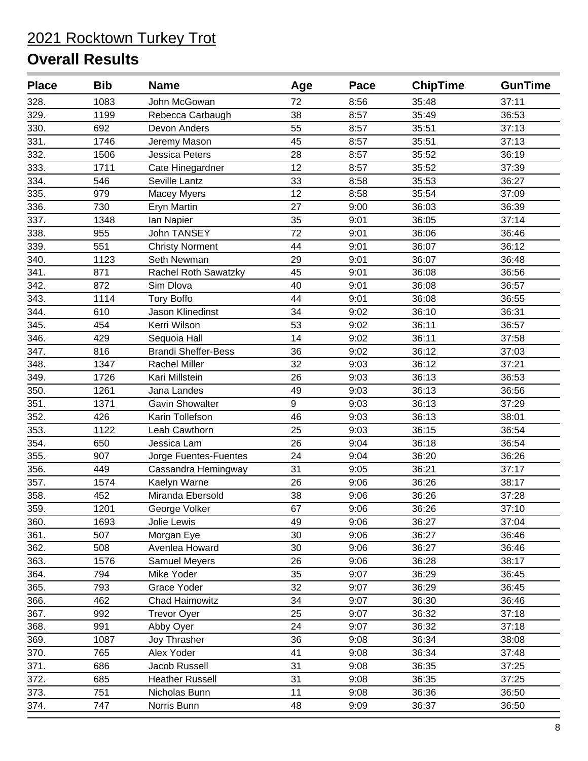| <b>Place</b> | <b>Bib</b> | <b>Name</b>                | Age | Pace | <b>ChipTime</b> | <b>GunTime</b> |
|--------------|------------|----------------------------|-----|------|-----------------|----------------|
| 328.         | 1083       | John McGowan               | 72  | 8:56 | 35:48           | 37:11          |
| 329.         | 1199       | Rebecca Carbaugh           | 38  | 8:57 | 35:49           | 36:53          |
| 330.         | 692        | Devon Anders               | 55  | 8:57 | 35:51           | 37:13          |
| 331.         | 1746       | Jeremy Mason               | 45  | 8:57 | 35:51           | 37:13          |
| 332.         | 1506       | Jessica Peters             | 28  | 8:57 | 35:52           | 36:19          |
| 333.         | 1711       | Cate Hinegardner           | 12  | 8:57 | 35:52           | 37:39          |
| 334.         | 546        | Seville Lantz              | 33  | 8:58 | 35:53           | 36:27          |
| 335.         | 979        | <b>Macey Myers</b>         | 12  | 8:58 | 35:54           | 37:09          |
| 336.         | 730        | Eryn Martin                | 27  | 9:00 | 36:03           | 36:39          |
| 337.         | 1348       | Ian Napier                 | 35  | 9:01 | 36:05           | 37:14          |
| 338.         | 955        | <b>John TANSEY</b>         | 72  | 9:01 | 36:06           | 36:46          |
| 339.         | 551        | <b>Christy Norment</b>     | 44  | 9:01 | 36:07           | 36:12          |
| 340.         | 1123       | Seth Newman                | 29  | 9:01 | 36:07           | 36:48          |
| 341.         | 871        | Rachel Roth Sawatzky       | 45  | 9:01 | 36:08           | 36:56          |
| 342.         | 872        | Sim Dlova                  | 40  | 9:01 | 36:08           | 36:57          |
| 343.         | 1114       | <b>Tory Boffo</b>          | 44  | 9:01 | 36:08           | 36:55          |
| 344.         | 610        | Jason Klinedinst           | 34  | 9:02 | 36:10           | 36:31          |
| 345.         | 454        | Kerri Wilson               | 53  | 9:02 | 36:11           | 36:57          |
| 346.         | 429        | Sequoia Hall               | 14  | 9:02 | 36:11           | 37:58          |
| 347.         | 816        | <b>Brandi Sheffer-Bess</b> | 36  | 9:02 | 36:12           | 37:03          |
| 348.         | 1347       | <b>Rachel Miller</b>       | 32  | 9:03 | 36:12           | 37:21          |
| 349.         | 1726       | Kari Millstein             | 26  | 9:03 | 36:13           | 36:53          |
| 350.         | 1261       | Jana Landes                | 49  | 9:03 | 36:13           | 36:56          |
| 351.         | 1371       | <b>Gavin Showalter</b>     | 9   | 9:03 | 36:13           | 37:29          |
| 352.         | 426        | Karin Tollefson            | 46  | 9:03 | 36:13           | 38:01          |
| 353.         | 1122       | Leah Cawthorn              | 25  | 9:03 | 36:15           | 36:54          |
| 354.         | 650        | Jessica Lam                | 26  | 9:04 | 36:18           | 36:54          |
| 355.         | 907        | Jorge Fuentes-Fuentes      | 24  | 9:04 | 36:20           | 36:26          |
| 356.         | 449        | Cassandra Hemingway        | 31  | 9:05 | 36:21           | 37:17          |
| 357.         | 1574       | Kaelyn Warne               | 26  | 9:06 | 36:26           | 38:17          |
| 358.         | 452        | Miranda Ebersold           | 38  | 9:06 | 36:26           | 37:28          |
| 359.         | 1201       | George Volker              | 67  | 9:06 | 36:26           | 37:10          |
| 360.         | 1693       | Jolie Lewis                | 49  | 9:06 | 36:27           | 37:04          |
| 361.         | 507        | Morgan Eye                 | 30  | 9:06 | 36:27           | 36:46          |
| 362.         | 508        | Avenlea Howard             | 30  | 9:06 | 36:27           | 36:46          |
| 363.         | 1576       | Samuel Meyers              | 26  | 9:06 | 36:28           | 38:17          |
| 364.         | 794        | Mike Yoder                 | 35  | 9:07 | 36:29           | 36:45          |
| 365.         | 793        | Grace Yoder                | 32  | 9:07 | 36:29           | 36:45          |
| 366.         | 462        | <b>Chad Haimowitz</b>      | 34  | 9:07 | 36:30           | 36:46          |
| 367.         | 992        | <b>Trevor Oyer</b>         | 25  | 9:07 | 36:32           | 37:18          |
| 368.         | 991        | Abby Oyer                  | 24  | 9:07 | 36:32           | 37:18          |
| 369.         | 1087       | Joy Thrasher               | 36  | 9:08 | 36:34           | 38:08          |
| 370.         | 765        | Alex Yoder                 | 41  | 9:08 | 36:34           | 37:48          |
| 371.         | 686        | Jacob Russell              | 31  | 9:08 | 36:35           | 37:25          |
| 372.         | 685        | <b>Heather Russell</b>     | 31  | 9:08 | 36:35           | 37:25          |
| 373.         | 751        | Nicholas Bunn              | 11  | 9:08 | 36:36           | 36:50          |
| 374.         | 747        | Norris Bunn                | 48  | 9:09 | 36:37           | 36:50          |
|              |            |                            |     |      |                 |                |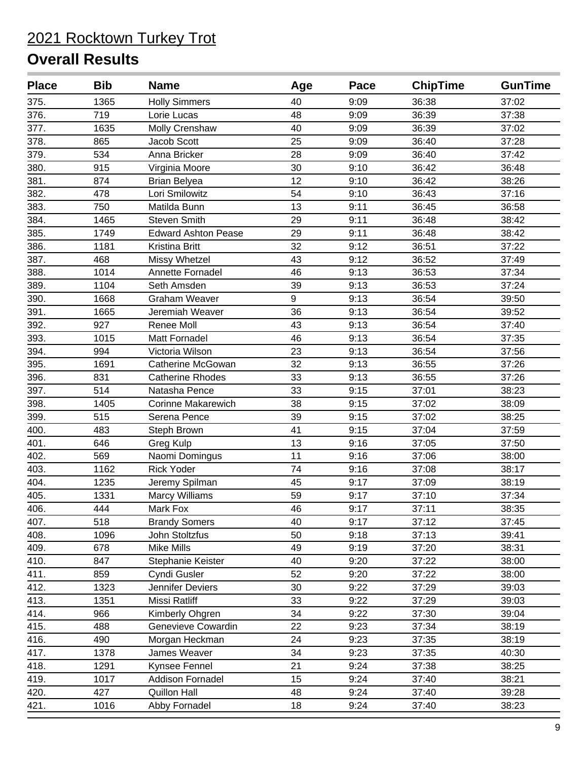| <b>Place</b> | <b>Bib</b> | <b>Name</b>                | Age | Pace | <b>ChipTime</b> | <b>GunTime</b> |
|--------------|------------|----------------------------|-----|------|-----------------|----------------|
| 375.         | 1365       | <b>Holly Simmers</b>       | 40  | 9:09 | 36:38           | 37:02          |
| 376.         | 719        | Lorie Lucas                | 48  | 9:09 | 36:39           | 37:38          |
| 377.         | 1635       | Molly Crenshaw             | 40  | 9:09 | 36:39           | 37:02          |
| 378.         | 865        | Jacob Scott                | 25  | 9:09 | 36:40           | 37:28          |
| 379.         | 534        | Anna Bricker               | 28  | 9:09 | 36:40           | 37:42          |
| 380.         | 915        | Virginia Moore             | 30  | 9:10 | 36:42           | 36:48          |
| 381.         | 874        | <b>Brian Belyea</b>        | 12  | 9:10 | 36:42           | 38:26          |
| 382.         | 478        | Lori Smilowitz             | 54  | 9:10 | 36:43           | 37:16          |
| 383.         | 750        | Matilda Bunn               | 13  | 9:11 | 36:45           | 36:58          |
| 384.         | 1465       | <b>Steven Smith</b>        | 29  | 9:11 | 36:48           | 38:42          |
| 385.         | 1749       | <b>Edward Ashton Pease</b> | 29  | 9:11 | 36:48           | 38:42          |
| 386.         | 1181       | Kristina Britt             | 32  | 9:12 | 36:51           | 37:22          |
| 387.         | 468        | Missy Whetzel              | 43  | 9:12 | 36:52           | 37:49          |
| 388.         | 1014       | Annette Fornadel           | 46  | 9:13 | 36:53           | 37:34          |
| 389.         | 1104       | Seth Amsden                | 39  | 9:13 | 36:53           | 37:24          |
| 390.         | 1668       | <b>Graham Weaver</b>       | 9   | 9:13 | 36:54           | 39:50          |
| 391.         | 1665       | Jeremiah Weaver            | 36  | 9:13 | 36:54           | 39:52          |
| 392.         | 927        | Renee Moll                 | 43  | 9:13 | 36:54           | 37:40          |
| 393.         | 1015       | Matt Fornadel              | 46  | 9:13 | 36:54           | 37:35          |
| 394.         | 994        | Victoria Wilson            | 23  | 9:13 | 36:54           | 37:56          |
| 395.         | 1691       | <b>Catherine McGowan</b>   | 32  | 9:13 | 36:55           | 37:26          |
| 396.         | 831        | <b>Catherine Rhodes</b>    | 33  | 9:13 | 36:55           | 37:26          |
| 397.         | 514        | Natasha Pence              | 33  | 9:15 | 37:01           | 38:23          |
| 398.         | 1405       | <b>Corinne Makarewich</b>  | 38  | 9:15 | 37:02           | 38:09          |
| 399.         | 515        | Serena Pence               | 39  | 9:15 | 37:02           | 38:25          |
| 400.         | 483        | Steph Brown                | 41  | 9:15 | 37:04           | 37:59          |
| 401.         | 646        | Greg Kulp                  | 13  | 9:16 | 37:05           | 37:50          |
| 402.         | 569        | Naomi Domingus             | 11  | 9:16 | 37:06           | 38:00          |
| 403.         | 1162       | <b>Rick Yoder</b>          | 74  | 9:16 | 37:08           | 38:17          |
| 404.         | 1235       | Jeremy Spilman             | 45  | 9:17 | 37:09           | 38:19          |
| 405.         | 1331       | <b>Marcy Williams</b>      | 59  | 9:17 | 37:10           | 37:34          |
| 406.         | 444        | Mark Fox                   | 46  | 9:17 | 37:11           | 38:35          |
| 407.         | 518        | <b>Brandy Somers</b>       | 40  | 9:17 | 37:12           | 37:45          |
| 408.         | 1096       | John Stoltzfus             | 50  | 9:18 | 37:13           | 39:41          |
| 409.         | 678        | Mike Mills                 | 49  | 9:19 | 37:20           | 38:31          |
| 410.         | 847        | Stephanie Keister          | 40  | 9:20 | 37:22           | 38:00          |
| 411.         | 859        | Cyndi Gusler               | 52  | 9:20 | 37:22           | 38:00          |
| 412.         | 1323       | Jennifer Deviers           | 30  | 9:22 | 37:29           | 39:03          |
| 413.         | 1351       | Missi Ratliff              | 33  | 9:22 | 37:29           | 39:03          |
| 414.         | 966        | Kimberly Ohgren            | 34  | 9:22 | 37:30           | 39:04          |
| 415.         | 488        | Genevieve Cowardin         | 22  | 9:23 | 37:34           | 38:19          |
| 416.         | 490        | Morgan Heckman             | 24  | 9:23 | 37:35           | 38:19          |
| 417.         | 1378       | James Weaver               | 34  | 9:23 | 37:35           | 40:30          |
| 418.         | 1291       | Kynsee Fennel              | 21  | 9:24 | 37:38           | 38:25          |
| 419.         | 1017       | <b>Addison Fornadel</b>    | 15  | 9:24 | 37:40           | 38:21          |
| 420.         | 427        | <b>Quillon Hall</b>        | 48  | 9:24 | 37:40           | 39:28          |
| 421.         | 1016       | Abby Fornadel              | 18  | 9:24 | 37:40           | 38:23          |
|              |            |                            |     |      |                 |                |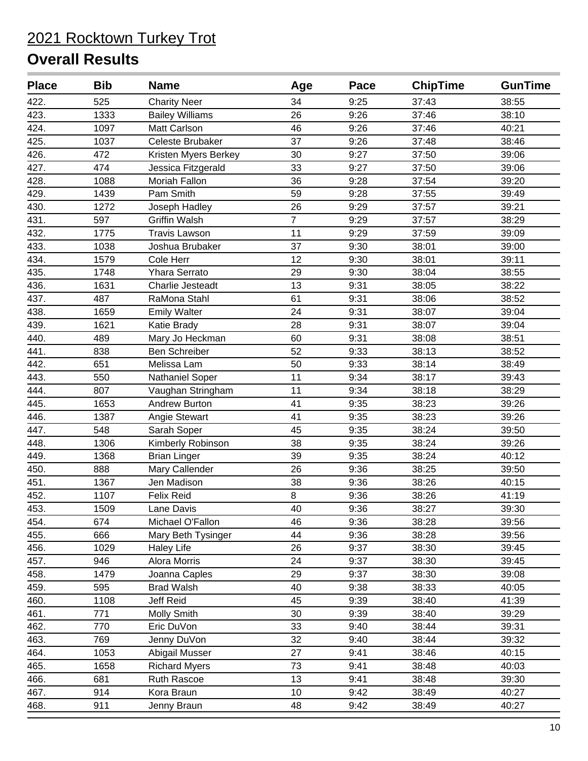| <b>Place</b> | <b>Bib</b> | <b>Name</b>            | Age            | Pace | <b>ChipTime</b> | <b>GunTime</b> |
|--------------|------------|------------------------|----------------|------|-----------------|----------------|
| 422.         | 525        | <b>Charity Neer</b>    | 34             | 9:25 | 37:43           | 38:55          |
| 423.         | 1333       | <b>Bailey Williams</b> | 26             | 9:26 | 37:46           | 38:10          |
| 424.         | 1097       | Matt Carlson           | 46             | 9:26 | 37:46           | 40:21          |
| 425.         | 1037       | Celeste Brubaker       | 37             | 9:26 | 37:48           | 38:46          |
| 426.         | 472        | Kristen Myers Berkey   | 30             | 9:27 | 37:50           | 39:06          |
| 427.         | 474        | Jessica Fitzgerald     | 33             | 9:27 | 37:50           | 39:06          |
| 428.         | 1088       | Moriah Fallon          | 36             | 9:28 | 37:54           | 39:20          |
| 429.         | 1439       | Pam Smith              | 59             | 9:28 | 37:55           | 39:49          |
| 430.         | 1272       | Joseph Hadley          | 26             | 9:29 | 37:57           | 39:21          |
| 431.         | 597        | <b>Griffin Walsh</b>   | $\overline{7}$ | 9:29 | 37:57           | 38:29          |
| 432.         | 1775       | <b>Travis Lawson</b>   | 11             | 9:29 | 37:59           | 39:09          |
| 433.         | 1038       | Joshua Brubaker        | 37             | 9:30 | 38:01           | 39:00          |
| 434.         | 1579       | Cole Herr              | 12             | 9:30 | 38:01           | 39:11          |
| 435.         | 1748       | Yhara Serrato          | 29             | 9:30 | 38:04           | 38:55          |
| 436.         | 1631       | Charlie Jesteadt       | 13             | 9:31 | 38:05           | 38:22          |
| 437.         | 487        | RaMona Stahl           | 61             | 9:31 | 38:06           | 38:52          |
| 438.         | 1659       | <b>Emily Walter</b>    | 24             | 9:31 | 38:07           | 39:04          |
| 439.         | 1621       | Katie Brady            | 28             | 9:31 | 38:07           | 39:04          |
| 440.         | 489        | Mary Jo Heckman        | 60             | 9:31 | 38:08           | 38:51          |
| 441.         | 838        | Ben Schreiber          | 52             | 9:33 | 38:13           | 38:52          |
| 442.         | 651        | Melissa Lam            | 50             | 9:33 | 38:14           | 38:49          |
| 443.         | 550        | Nathaniel Soper        | 11             | 9:34 | 38:17           | 39:43          |
| 444.         | 807        | Vaughan Stringham      | 11             | 9:34 | 38:18           | 38:29          |
| 445.         | 1653       | Andrew Burton          | 41             | 9:35 | 38:23           | 39:26          |
| 446.         | 1387       | Angie Stewart          | 41             | 9:35 | 38:23           | 39:26          |
| 447.         | 548        | Sarah Soper            | 45             | 9:35 | 38:24           | 39:50          |
| 448.         | 1306       | Kimberly Robinson      | 38             | 9:35 | 38:24           | 39:26          |
| 449.         | 1368       | <b>Brian Linger</b>    | 39             | 9:35 | 38:24           | 40:12          |
| 450.         | 888        | Mary Callender         | 26             | 9:36 | 38:25           | 39:50          |
| 451.         | 1367       | Jen Madison            | 38             | 9:36 | 38:26           | 40:15          |
| 452.         | 1107       | Felix Reid             | 8              | 9:36 | 38:26           | 41:19          |
| 453.         | 1509       | Lane Davis             | 40             | 9:36 | 38:27           | 39:30          |
| 454.         | 674        | Michael O'Fallon       | 46             | 9:36 | 38:28           | 39:56          |
| 455.         | 666        | Mary Beth Tysinger     | 44             | 9:36 | 38:28           | 39:56          |
| 456.         | 1029       | <b>Haley Life</b>      | 26             | 9:37 | 38:30           | 39:45          |
| 457.         | 946        | Alora Morris           | 24             | 9:37 | 38:30           | 39:45          |
| 458.         | 1479       | Joanna Caples          | 29             | 9:37 | 38:30           | 39:08          |
| 459.         | 595        | <b>Brad Walsh</b>      | 40             | 9:38 | 38:33           | 40:05          |
| 460.         | 1108       | Jeff Reid              | 45             | 9:39 | 38:40           | 41:39          |
| 461.         | 771        | Molly Smith            | 30             | 9:39 | 38:40           | 39:29          |
| 462.         | 770        | Eric DuVon             | 33             | 9:40 | 38:44           | 39:31          |
| 463.         | 769        | Jenny DuVon            | 32             | 9:40 | 38:44           | 39:32          |
| 464.         | 1053       | Abigail Musser         | 27             | 9:41 | 38:46           | 40:15          |
| 465.         | 1658       | <b>Richard Myers</b>   | 73             | 9:41 | 38:48           | 40:03          |
| 466.         | 681        | Ruth Rascoe            | 13             | 9:41 | 38:48           | 39:30          |
| 467.         | 914        | Kora Braun             | 10             | 9:42 | 38:49           | 40:27          |
| 468.         | 911        | Jenny Braun            | 48             | 9:42 | 38:49           | 40:27          |
|              |            |                        |                |      |                 |                |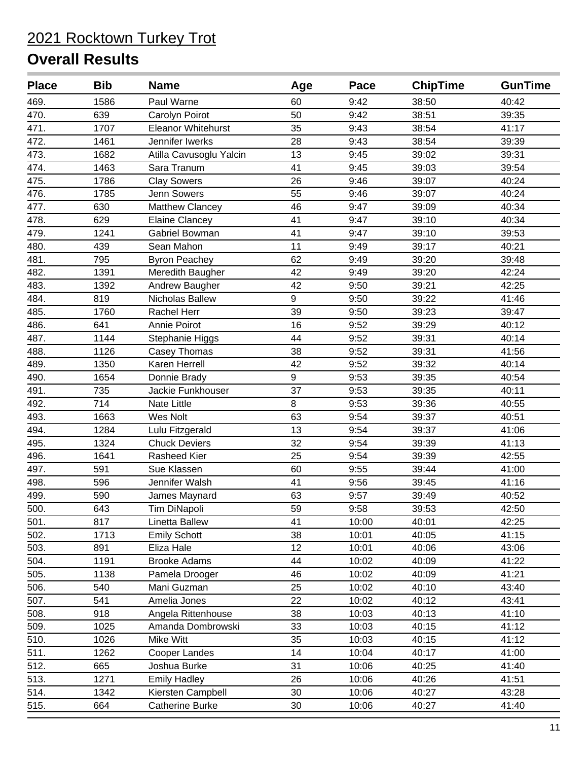| <b>Place</b> | <b>Bib</b> | <b>Name</b>             | Age | Pace  | <b>ChipTime</b> | <b>GunTime</b> |
|--------------|------------|-------------------------|-----|-------|-----------------|----------------|
| 469.         | 1586       | Paul Warne              | 60  | 9:42  | 38:50           | 40:42          |
| 470.         | 639        | Carolyn Poirot          | 50  | 9:42  | 38:51           | 39:35          |
| 471.         | 1707       | Eleanor Whitehurst      | 35  | 9:43  | 38:54           | 41:17          |
| 472.         | 1461       | Jennifer Iwerks         | 28  | 9:43  | 38:54           | 39:39          |
| 473.         | 1682       | Atilla Cavusoglu Yalcin | 13  | 9:45  | 39:02           | 39:31          |
| 474.         | 1463       | Sara Tranum             | 41  | 9:45  | 39:03           | 39:54          |
| 475.         | 1786       | <b>Clay Sowers</b>      | 26  | 9:46  | 39:07           | 40:24          |
| 476.         | 1785       | <b>Jenn Sowers</b>      | 55  | 9:46  | 39:07           | 40:24          |
| 477.         | 630        | Matthew Clancey         | 46  | 9:47  | 39:09           | 40:34          |
| 478.         | 629        | <b>Elaine Clancey</b>   | 41  | 9:47  | 39:10           | 40:34          |
| 479.         | 1241       | Gabriel Bowman          | 41  | 9:47  | 39:10           | 39:53          |
| 480.         | 439        | Sean Mahon              | 11  | 9:49  | 39:17           | 40:21          |
| 481.         | 795        | <b>Byron Peachey</b>    | 62  | 9:49  | 39:20           | 39:48          |
| 482.         | 1391       | Meredith Baugher        | 42  | 9:49  | 39:20           | 42:24          |
| 483.         | 1392       | Andrew Baugher          | 42  | 9:50  | 39:21           | 42:25          |
| 484.         | 819        | Nicholas Ballew         | 9   | 9:50  | 39:22           | 41:46          |
| 485.         | 1760       | <b>Rachel Herr</b>      | 39  | 9:50  | 39:23           | 39:47          |
| 486.         | 641        | Annie Poirot            | 16  | 9:52  | 39:29           | 40:12          |
| 487.         | 1144       | Stephanie Higgs         | 44  | 9:52  | 39:31           | 40:14          |
| 488.         | 1126       | Casey Thomas            | 38  | 9:52  | 39:31           | 41:56          |
| 489.         | 1350       | Karen Herrell           | 42  | 9:52  | 39:32           | 40:14          |
| 490.         | 1654       | Donnie Brady            | 9   | 9:53  | 39:35           | 40:54          |
| 491.         | 735        | Jackie Funkhouser       | 37  | 9:53  | 39:35           | 40:11          |
| 492.         | 714        | Nate Little             | 8   | 9:53  | 39:36           | 40:55          |
| 493.         | 1663       | Wes Nolt                | 63  | 9:54  | 39:37           | 40:51          |
| 494.         | 1284       | Lulu Fitzgerald         | 13  | 9:54  | 39:37           | 41:06          |
| 495.         | 1324       | <b>Chuck Deviers</b>    | 32  | 9:54  | 39:39           | 41:13          |
| 496.         | 1641       | Rasheed Kier            | 25  | 9:54  | 39:39           | 42:55          |
| 497.         | 591        | Sue Klassen             | 60  | 9:55  | 39:44           | 41:00          |
| 498.         | 596        | Jennifer Walsh          | 41  | 9:56  | 39:45           | 41:16          |
| 499.         | 590        | James Maynard           | 63  | 9:57  | 39:49           | 40:52          |
| 500.         | 643        | Tim DiNapoli            | 59  | 9:58  | 39:53           | 42:50          |
| 501.         | 817        | Linetta Ballew          | 41  | 10:00 | 40:01           | 42:25          |
| 502.         | 1713       | <b>Emily Schott</b>     | 38  | 10:01 | 40:05           | 41:15          |
| 503.         | 891        | Eliza Hale              | 12  | 10:01 | 40:06           | 43:06          |
| 504.         | 1191       | <b>Brooke Adams</b>     | 44  | 10:02 | 40:09           | 41:22          |
| 505.         | 1138       | Pamela Drooger          | 46  | 10:02 | 40:09           | 41:21          |
| 506.         | 540        | Mani Guzman             | 25  | 10:02 | 40:10           | 43:40          |
| 507.         | 541        | Amelia Jones            | 22  | 10:02 | 40:12           | 43:41          |
| 508.         | 918        | Angela Rittenhouse      | 38  | 10:03 | 40:13           | 41:10          |
| 509.         | 1025       | Amanda Dombrowski       | 33  | 10:03 | 40:15           | 41:12          |
| 510.         | 1026       | Mike Witt               | 35  | 10:03 | 40:15           | 41:12          |
| 511.         | 1262       | Cooper Landes           | 14  | 10:04 | 40:17           | 41:00          |
| 512.         | 665        | Joshua Burke            | 31  | 10:06 | 40:25           | 41:40          |
| 513.         | 1271       | <b>Emily Hadley</b>     | 26  | 10:06 | 40:26           | 41:51          |
| 514.         | 1342       | Kiersten Campbell       | 30  | 10:06 | 40:27           | 43:28          |
| 515.         | 664        | <b>Catherine Burke</b>  | 30  | 10:06 | 40:27           | 41:40          |
|              |            |                         |     |       |                 |                |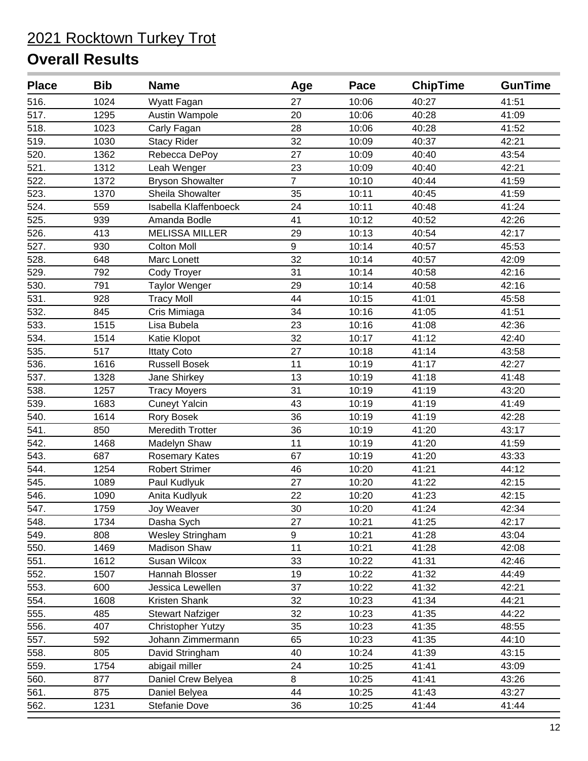| <b>Place</b>       | <b>Bib</b> | <b>Name</b>              | Age              | Pace  | <b>ChipTime</b> | <b>GunTime</b> |
|--------------------|------------|--------------------------|------------------|-------|-----------------|----------------|
| 516.               | 1024       | Wyatt Fagan              | 27               | 10:06 | 40:27           | 41:51          |
| 517.               | 1295       | Austin Wampole           | 20               | 10:06 | 40:28           | 41:09          |
| 518.               | 1023       | Carly Fagan              | 28               | 10:06 | 40:28           | 41:52          |
| 519.               | 1030       | <b>Stacy Rider</b>       | 32               | 10:09 | 40:37           | 42:21          |
| 520.               | 1362       | Rebecca DePoy            | 27               | 10:09 | 40:40           | 43:54          |
| 521.               | 1312       | Leah Wenger              | 23               | 10:09 | 40:40           | 42:21          |
| 522.               | 1372       | <b>Bryson Showalter</b>  | $\overline{7}$   | 10:10 | 40:44           | 41:59          |
| 523.               | 1370       | Sheila Showalter         | 35               | 10:11 | 40:45           | 41:59          |
| 524.               | 559        | Isabella Klaffenboeck    | 24               | 10:11 | 40:48           | 41:24          |
| 525.               | 939        | Amanda Bodle             | 41               | 10:12 | 40:52           | 42:26          |
| 526.               | 413        | <b>MELISSA MILLER</b>    | 29               | 10:13 | 40:54           | 42:17          |
| 527.               | 930        | Colton Moll              | $\boldsymbol{9}$ | 10:14 | 40:57           | 45:53          |
| 528.               | 648        | Marc Lonett              | 32               | 10:14 | 40:57           | 42:09          |
| 529.               | 792        | Cody Troyer              | 31               | 10:14 | 40:58           | 42:16          |
| 530.               | 791        | <b>Taylor Wenger</b>     | 29               | 10:14 | 40:58           | 42:16          |
| 531.               | 928        | <b>Tracy Moll</b>        | 44               | 10:15 | 41:01           | 45:58          |
| 532.               | 845        | Cris Mimiaga             | 34               | 10:16 | 41:05           | 41:51          |
| 533.               | 1515       | Lisa Bubela              | 23               | 10:16 | 41:08           | 42:36          |
| 534.               | 1514       | Katie Klopot             | 32               | 10:17 | 41:12           | 42:40          |
| 535.               | 517        | <b>Ittaty Coto</b>       | 27               | 10:18 | 41:14           | 43:58          |
| 536.               | 1616       | <b>Russell Bosek</b>     | 11               | 10:19 | 41:17           | 42:27          |
| 537.               | 1328       | Jane Shirkey             | 13               | 10:19 | 41:18           | 41:48          |
| 538.               | 1257       | <b>Tracy Moyers</b>      | 31               | 10:19 | 41:19           | 43:20          |
| 539.               | 1683       | <b>Cuneyt Yalcin</b>     | 43               | 10:19 | 41:19           | 41:49          |
| 540.               | 1614       | <b>Rory Bosek</b>        | 36               | 10:19 | 41:19           | 42:28          |
| 541.               | 850        | Meredith Trotter         | 36               | 10:19 | 41:20           | 43:17          |
| 542.               | 1468       | Madelyn Shaw             | 11               | 10:19 | 41:20           | 41:59          |
| 543.               | 687        | Rosemary Kates           | 67               | 10:19 | 41:20           | 43:33          |
| 544.               | 1254       | <b>Robert Strimer</b>    | 46               | 10:20 | 41:21           | 44:12          |
| $\overline{545}$ . | 1089       | Paul Kudlyuk             | 27               | 10:20 | 41:22           | 42:15          |
| 546.               | 1090       | Anita Kudlyuk            | 22               | 10:20 | 41:23           | 42:15          |
| 547.               | 1759       | Joy Weaver               | 30               | 10:20 | 41:24           | 42:34          |
| 548.               | 1734       | Dasha Sych               | 27               | 10:21 | 41:25           | 42:17          |
| 549.               | 808        | <b>Wesley Stringham</b>  | 9                | 10:21 | 41:28           | 43:04          |
| 550.               | 1469       | <b>Madison Shaw</b>      | 11               | 10:21 | 41:28           | 42:08          |
| 551.               | 1612       | Susan Wilcox             | 33               | 10:22 | 41:31           | 42:46          |
| 552.               | 1507       | Hannah Blosser           | 19               | 10:22 | 41:32           | 44:49          |
| 553.               | 600        | Jessica Lewellen         | 37               | 10:22 | 41:32           | 42:21          |
| 554.               | 1608       | Kristen Shank            | 32               | 10:23 | 41:34           | 44:21          |
| 555.               | 485        | <b>Stewart Nafziger</b>  | 32               | 10:23 | 41:35           | 44:22          |
| 556.               | 407        | <b>Christopher Yutzy</b> | 35               | 10:23 | 41:35           | 48:55          |
| 557.               | 592        | Johann Zimmermann        | 65               | 10:23 | 41:35           | 44:10          |
| 558.               | 805        | David Stringham          | 40               | 10:24 | 41:39           | 43:15          |
| 559.               | 1754       | abigail miller           | 24               | 10:25 | 41:41           | 43:09          |
| 560.               | 877        | Daniel Crew Belyea       | 8                | 10:25 | 41:41           | 43:26          |
| 561.               | 875        | Daniel Belyea            | 44               | 10:25 | 41:43           | 43:27          |
| 562.               | 1231       | Stefanie Dove            | 36               | 10:25 | 41:44           | 41:44          |
|                    |            |                          |                  |       |                 |                |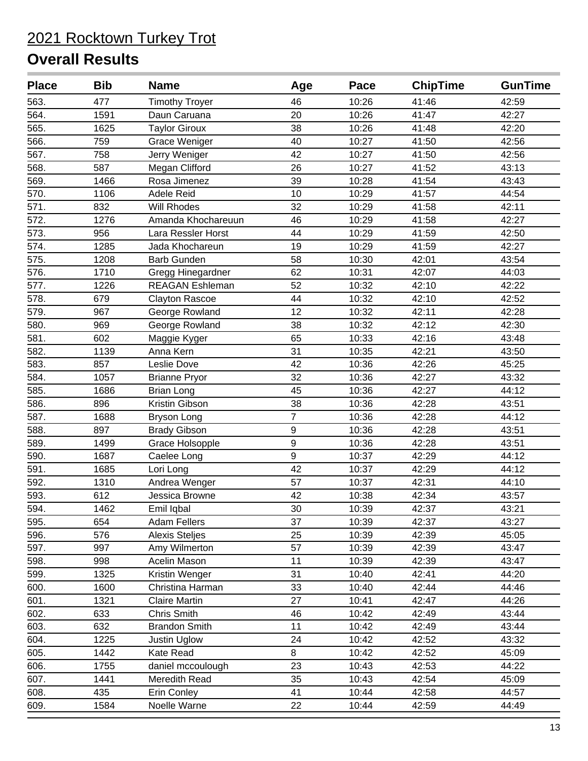| <b>Place</b> | <b>Bib</b> | <b>Name</b>            | Age              | Pace  | <b>ChipTime</b> | <b>GunTime</b> |
|--------------|------------|------------------------|------------------|-------|-----------------|----------------|
| 563.         | 477        | <b>Timothy Troyer</b>  | 46               | 10:26 | 41:46           | 42:59          |
| 564.         | 1591       | Daun Caruana           | 20               | 10:26 | 41:47           | 42:27          |
| 565.         | 1625       | <b>Taylor Giroux</b>   | 38               | 10:26 | 41:48           | 42:20          |
| 566.         | 759        | <b>Grace Weniger</b>   | 40               | 10:27 | 41:50           | 42:56          |
| 567.         | 758        | Jerry Weniger          | 42               | 10:27 | 41:50           | 42:56          |
| 568.         | 587        | Megan Clifford         | 26               | 10:27 | 41:52           | 43:13          |
| 569.         | 1466       | Rosa Jimenez           | 39               | 10:28 | 41:54           | 43:43          |
| 570.         | 1106       | Adele Reid             | 10               | 10:29 | 41:57           | 44:54          |
| 571.         | 832        | Will Rhodes            | 32               | 10:29 | 41:58           | 42:11          |
| 572.         | 1276       | Amanda Khochareuun     | 46               | 10:29 | 41:58           | 42:27          |
| 573.         | 956        | Lara Ressler Horst     | 44               | 10:29 | 41:59           | 42:50          |
| 574.         | 1285       | Jada Khochareun        | 19               | 10:29 | 41:59           | 42:27          |
| 575.         | 1208       | <b>Barb Gunden</b>     | 58               | 10:30 | 42:01           | 43:54          |
| 576.         | 1710       | Gregg Hinegardner      | 62               | 10:31 | 42:07           | 44:03          |
| 577.         | 1226       | <b>REAGAN Eshleman</b> | 52               | 10:32 | 42:10           | 42:22          |
| 578.         | 679        | <b>Clayton Rascoe</b>  | 44               | 10:32 | 42:10           | 42:52          |
| 579.         | 967        | George Rowland         | 12               | 10:32 | 42:11           | 42:28          |
| 580.         | 969        | George Rowland         | 38               | 10:32 | 42:12           | 42:30          |
| 581.         | 602        | Maggie Kyger           | 65               | 10:33 | 42:16           | 43:48          |
| 582.         | 1139       | Anna Kern              | 31               | 10:35 | 42:21           | 43:50          |
| 583.         | 857        | Leslie Dove            | 42               | 10:36 | 42:26           | 45:25          |
| 584.         | 1057       | <b>Brianne Pryor</b>   | 32               | 10:36 | 42:27           | 43:32          |
| 585.         | 1686       | <b>Brian Long</b>      | 45               | 10:36 | 42:27           | 44:12          |
| 586.         | 896        | Kristin Gibson         | 38               | 10:36 | 42:28           | 43:51          |
| 587.         | 1688       | <b>Bryson Long</b>     | 7                | 10:36 | 42:28           | 44:12          |
| 588.         | 897        | <b>Brady Gibson</b>    | $9\,$            | 10:36 | 42:28           | 43:51          |
| 589.         | 1499       | Grace Holsopple        | $\boldsymbol{9}$ | 10:36 | 42:28           | 43:51          |
| 590.         | 1687       | Caelee Long            | 9                | 10:37 | 42:29           | 44:12          |
| 591.         | 1685       | Lori Long              | 42               | 10:37 | 42:29           | 44:12          |
| 592.         | 1310       | Andrea Wenger          | 57               | 10:37 | 42:31           | 44:10          |
| 593.         | 612        | Jessica Browne         | 42               | 10:38 | 42:34           | 43:57          |
| 594.         | 1462       | Emil Iqbal             | 30               | 10:39 | 42:37           | 43:21          |
| 595.         | 654        | <b>Adam Fellers</b>    | 37               | 10:39 | 42:37           | 43:27          |
| 596.         | 576        | <b>Alexis Steljes</b>  | 25               | 10:39 | 42:39           | 45:05          |
| 597.         | 997        | Amy Wilmerton          | 57               | 10:39 | 42:39           | 43:47          |
| 598.         | 998        | Acelin Mason           | 11               | 10:39 | 42:39           | 43:47          |
| 599.         | 1325       | Kristin Wenger         | 31               | 10:40 | 42:41           | 44:20          |
| 600.         | 1600       | Christina Harman       | 33               | 10:40 | 42:44           | 44:46          |
| 601.         | 1321       | <b>Claire Martin</b>   | 27               | 10:41 | 42:47           | 44:26          |
| 602.         | 633        | Chris Smith            | 46               | 10:42 | 42:49           | 43:44          |
| 603.         | 632        | <b>Brandon Smith</b>   | 11               | 10:42 | 42:49           | 43:44          |
| 604.         | 1225       | Justin Uglow           | 24               | 10:42 | 42:52           | 43:32          |
| 605.         | 1442       | Kate Read              | 8                | 10:42 | 42:52           | 45:09          |
| 606.         | 1755       | daniel mccoulough      | 23               | 10:43 | 42:53           | 44:22          |
| 607.         | 1441       | Meredith Read          | 35               | 10:43 | 42:54           | 45:09          |
| 608.         | 435        | <b>Erin Conley</b>     | 41               | 10:44 | 42:58           | 44:57          |
| 609.         | 1584       | Noelle Warne           | 22               | 10:44 | 42:59           | 44:49          |
|              |            |                        |                  |       |                 |                |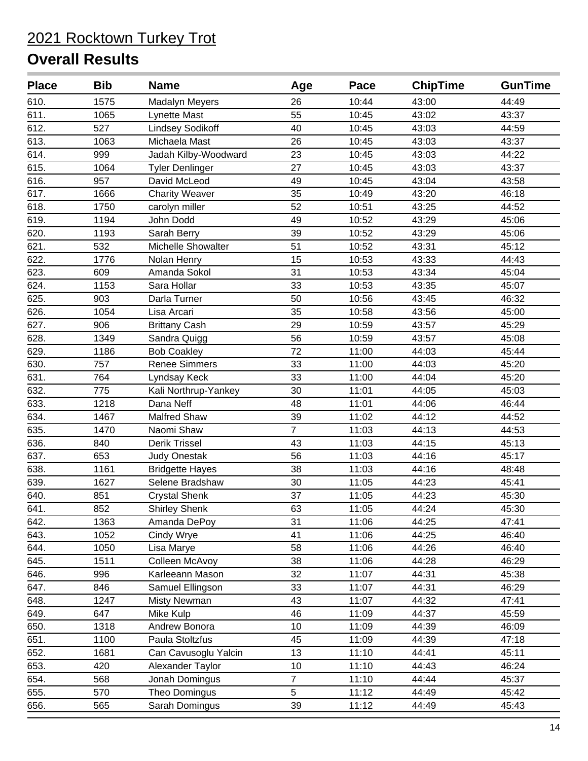| <b>Place</b> | <b>Bib</b> | <b>Name</b>             | Age            | Pace  | <b>ChipTime</b> | <b>GunTime</b> |
|--------------|------------|-------------------------|----------------|-------|-----------------|----------------|
| 610.         | 1575       | <b>Madalyn Meyers</b>   | 26             | 10:44 | 43:00           | 44:49          |
| 611.         | 1065       | Lynette Mast            | 55             | 10:45 | 43:02           | 43:37          |
| 612.         | 527        | <b>Lindsey Sodikoff</b> | 40             | 10:45 | 43:03           | 44:59          |
| 613.         | 1063       | Michaela Mast           | 26             | 10:45 | 43:03           | 43:37          |
| 614.         | 999        | Jadah Kilby-Woodward    | 23             | 10:45 | 43:03           | 44:22          |
| 615.         | 1064       | <b>Tyler Denlinger</b>  | 27             | 10:45 | 43:03           | 43:37          |
| 616.         | 957        | David McLeod            | 49             | 10:45 | 43:04           | 43:58          |
| 617.         | 1666       | <b>Charity Weaver</b>   | 35             | 10:49 | 43:20           | 46:18          |
| 618.         | 1750       | carolyn miller          | 52             | 10:51 | 43:25           | 44:52          |
| 619.         | 1194       | John Dodd               | 49             | 10:52 | 43:29           | 45:06          |
| 620.         | 1193       | Sarah Berry             | 39             | 10:52 | 43:29           | 45:06          |
| 621.         | 532        | Michelle Showalter      | 51             | 10:52 | 43:31           | 45:12          |
| 622.         | 1776       | Nolan Henry             | 15             | 10:53 | 43:33           | 44:43          |
| 623.         | 609        | Amanda Sokol            | 31             | 10:53 | 43:34           | 45:04          |
| 624.         | 1153       | Sara Hollar             | 33             | 10:53 | 43:35           | 45:07          |
| 625.         | 903        | Darla Turner            | 50             | 10:56 | 43:45           | 46:32          |
| 626.         | 1054       | Lisa Arcari             | 35             | 10:58 | 43:56           | 45:00          |
| 627.         | 906        | <b>Brittany Cash</b>    | 29             | 10:59 | 43:57           | 45:29          |
| 628.         | 1349       | Sandra Quigg            | 56             | 10:59 | 43:57           | 45:08          |
| 629.         | 1186       | <b>Bob Coakley</b>      | 72             | 11:00 | 44:03           | 45:44          |
| 630.         | 757        | <b>Renee Simmers</b>    | 33             | 11:00 | 44:03           | 45:20          |
| 631.         | 764        | Lyndsay Keck            | 33             | 11:00 | 44:04           | 45:20          |
| 632.         | 775        | Kali Northrup-Yankey    | 30             | 11:01 | 44:05           | 45:03          |
| 633.         | 1218       | Dana Neff               | 48             | 11:01 | 44:06           | 46:44          |
| 634.         | 1467       | <b>Malfred Shaw</b>     | 39             | 11:02 | 44:12           | 44:52          |
| 635.         | 1470       | Naomi Shaw              | $\overline{7}$ | 11:03 | 44:13           | 44:53          |
| 636.         | 840        | Derik Trissel           | 43             | 11:03 | 44:15           | 45:13          |
| 637.         | 653        | <b>Judy Onestak</b>     | 56             | 11:03 | 44:16           | 45:17          |
| 638.         | 1161       | <b>Bridgette Hayes</b>  | 38             | 11:03 | 44:16           | 48:48          |
| 639.         | 1627       | Selene Bradshaw         | 30             | 11:05 | 44:23           | 45:41          |
| 640.         | 851        | <b>Crystal Shenk</b>    | 37             | 11:05 | 44:23           | 45:30          |
| 641.         | 852        | <b>Shirley Shenk</b>    | 63             | 11:05 | 44:24           | 45:30          |
| 642.         | 1363       | Amanda DePoy            | 31             | 11:06 | 44:25           | 47:41          |
| 643.         | 1052       | Cindy Wrye              | 41             | 11:06 | 44:25           | 46:40          |
| 644.         | 1050       | Lisa Marye              | 58             | 11:06 | 44:26           | 46:40          |
| 645.         | 1511       | Colleen McAvoy          | 38             | 11:06 | 44:28           | 46:29          |
| 646.         | 996        | Karleeann Mason         | 32             | 11:07 | 44:31           | 45:38          |
| 647.         | 846        | Samuel Ellingson        | 33             | 11:07 | 44:31           | 46:29          |
| 648.         | 1247       | <b>Misty Newman</b>     | 43             | 11:07 | 44:32           | 47:41          |
| 649.         | 647        | Mike Kulp               | 46             | 11:09 | 44:37           | 45:59          |
| 650.         | 1318       | Andrew Bonora           | 10             | 11:09 | 44:39           | 46:09          |
| 651.         | 1100       | Paula Stoltzfus         | 45             | 11:09 | 44:39           | 47:18          |
| 652.         | 1681       | Can Cavusoglu Yalcin    | 13             | 11:10 | 44:41           | 45:11          |
| 653.         | 420        | Alexander Taylor        | 10             | 11:10 | 44:43           | 46:24          |
| 654.         | 568        | Jonah Domingus          | $\overline{7}$ | 11:10 | 44:44           | 45:37          |
| 655.         | 570        | Theo Domingus           | 5              | 11:12 | 44:49           | 45:42          |
| 656.         | 565        | Sarah Domingus          | 39             | 11:12 | 44:49           | 45:43          |
|              |            |                         |                |       |                 |                |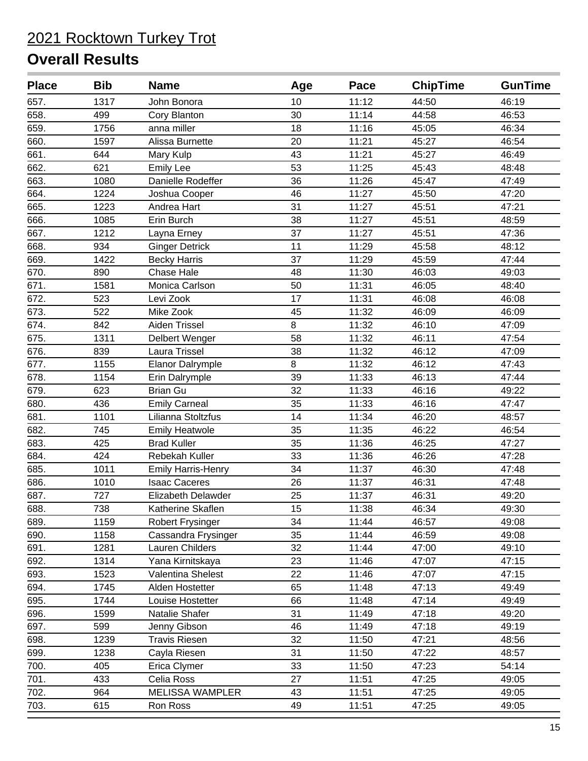| <b>Place</b> | <b>Bib</b> | <b>Name</b>               | Age | Pace  | <b>ChipTime</b> | <b>GunTime</b> |
|--------------|------------|---------------------------|-----|-------|-----------------|----------------|
| 657.         | 1317       | John Bonora               | 10  | 11:12 | 44:50           | 46:19          |
| 658.         | 499        | Cory Blanton              | 30  | 11:14 | 44:58           | 46:53          |
| 659.         | 1756       | anna miller               | 18  | 11:16 | 45:05           | 46:34          |
| 660.         | 1597       | Alissa Burnette           | 20  | 11:21 | 45:27           | 46:54          |
| 661.         | 644        | Mary Kulp                 | 43  | 11:21 | 45:27           | 46:49          |
| 662.         | 621        | <b>Emily Lee</b>          | 53  | 11:25 | 45:43           | 48:48          |
| 663.         | 1080       | Danielle Rodeffer         | 36  | 11:26 | 45:47           | 47:49          |
| 664.         | 1224       | Joshua Cooper             | 46  | 11:27 | 45:50           | 47:20          |
| 665.         | 1223       | Andrea Hart               | 31  | 11:27 | 45:51           | 47:21          |
| 666.         | 1085       | Erin Burch                | 38  | 11:27 | 45:51           | 48:59          |
| 667.         | 1212       | Layna Erney               | 37  | 11:27 | 45:51           | 47:36          |
| 668.         | 934        | <b>Ginger Detrick</b>     | 11  | 11:29 | 45:58           | 48:12          |
| 669.         | 1422       | <b>Becky Harris</b>       | 37  | 11:29 | 45:59           | 47:44          |
| 670.         | 890        | <b>Chase Hale</b>         | 48  | 11:30 | 46:03           | 49:03          |
| 671.         | 1581       | Monica Carlson            | 50  | 11:31 | 46:05           | 48:40          |
| 672.         | 523        | Levi Zook                 | 17  | 11:31 | 46:08           | 46:08          |
| 673.         | 522        | Mike Zook                 | 45  | 11:32 | 46:09           | 46:09          |
| 674.         | 842        | Aiden Trissel             | 8   | 11:32 | 46:10           | 47:09          |
| 675.         | 1311       | Delbert Wenger            | 58  | 11:32 | 46:11           | 47:54          |
| 676.         | 839        | Laura Trissel             | 38  | 11:32 | 46:12           | 47:09          |
| 677.         | 1155       | <b>Elanor Dalrymple</b>   | 8   | 11:32 | 46:12           | 47:43          |
| 678.         | 1154       | Erin Dalrymple            | 39  | 11:33 | 46:13           | 47:44          |
| 679.         | 623        | <b>Brian Gu</b>           | 32  | 11:33 | 46:16           | 49:22          |
| 680.         | 436        | <b>Emily Carneal</b>      | 35  | 11:33 | 46:16           | 47:47          |
| 681.         | 1101       | Lilianna Stoltzfus        | 14  | 11:34 | 46:20           | 48:57          |
| 682.         | 745        | <b>Emily Heatwole</b>     | 35  | 11:35 | 46:22           | 46:54          |
| 683.         | 425        | <b>Brad Kuller</b>        | 35  | 11:36 | 46:25           | 47:27          |
| 684.         | 424        | Rebekah Kuller            | 33  | 11:36 | 46:26           | 47:28          |
| 685.         | 1011       | <b>Emily Harris-Henry</b> | 34  | 11:37 | 46:30           | 47:48          |
| 686.         | 1010       | <b>Isaac Caceres</b>      | 26  | 11:37 | 46:31           | 47:48          |
| 687.         | 727        | Elizabeth Delawder        | 25  | 11:37 | 46:31           | 49:20          |
| 688.         | 738        | Katherine Skaflen         | 15  | 11:38 | 46:34           | 49:30          |
| 689.         | 1159       | <b>Robert Frysinger</b>   | 34  | 11:44 | 46:57           | 49:08          |
| 690.         | 1158       | Cassandra Frysinger       | 35  | 11:44 | 46:59           | 49:08          |
| 691.         | 1281       | Lauren Childers           | 32  | 11:44 | 47:00           | 49:10          |
| 692.         | 1314       | Yana Kirnitskaya          | 23  | 11:46 | 47:07           | 47:15          |
| 693.         | 1523       | Valentina Shelest         | 22  | 11:46 | 47:07           | 47:15          |
| 694.         | 1745       | Alden Hostetter           | 65  | 11:48 | 47:13           | 49:49          |
| 695.         | 1744       | Louise Hostetter          | 66  | 11:48 | 47:14           | 49:49          |
| 696.         | 1599       | Natalie Shafer            | 31  | 11:49 | 47:18           | 49:20          |
| 697.         | 599        | Jenny Gibson              | 46  | 11:49 | 47:18           | 49:19          |
| 698.         | 1239       | <b>Travis Riesen</b>      | 32  | 11:50 | 47:21           | 48:56          |
| 699.         | 1238       | Cayla Riesen              | 31  | 11:50 | 47:22           | 48:57          |
| 700.         | 405        | Erica Clymer              | 33  | 11:50 | 47:23           | 54:14          |
| 701.         | 433        | Celia Ross                | 27  | 11:51 | 47:25           | 49:05          |
| 702.         | 964        | MELISSA WAMPLER           | 43  | 11:51 | 47:25           | 49:05          |
| 703.         | 615        | Ron Ross                  | 49  | 11:51 | 47:25           | 49:05          |
|              |            |                           |     |       |                 |                |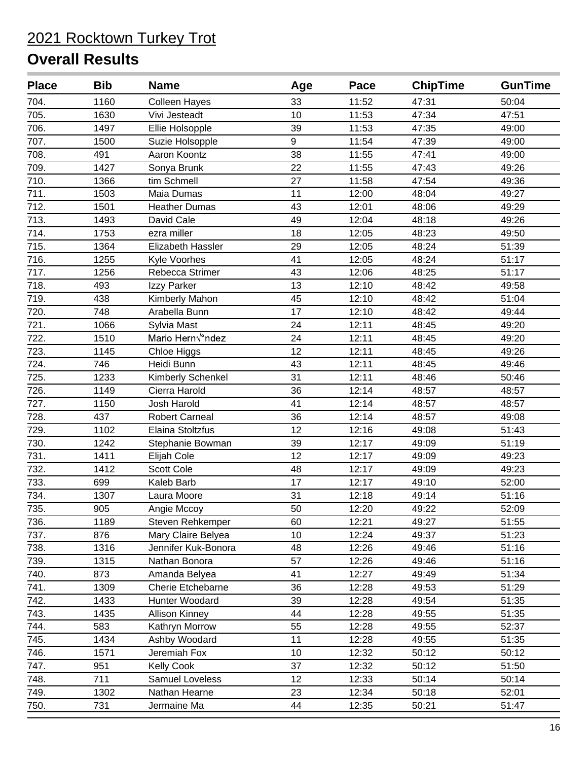| <b>Place</b> | <b>Bib</b> | <b>Name</b>              | Age | Pace  | <b>ChipTime</b> | <b>GunTime</b> |
|--------------|------------|--------------------------|-----|-------|-----------------|----------------|
| 704.         | 1160       | <b>Colleen Hayes</b>     | 33  | 11:52 | 47:31           | 50:04          |
| 705.         | 1630       | Vivi Jesteadt            | 10  | 11:53 | 47:34           | 47:51          |
| 706.         | 1497       | Ellie Holsopple          | 39  | 11:53 | 47:35           | 49:00          |
| 707.         | 1500       | Suzie Holsopple          | 9   | 11:54 | 47:39           | 49:00          |
| 708.         | 491        | Aaron Koontz             | 38  | 11:55 | 47:41           | 49:00          |
| 709.         | 1427       | Sonya Brunk              | 22  | 11:55 | 47:43           | 49:26          |
| 710.         | 1366       | tim Schmell              | 27  | 11:58 | 47:54           | 49:36          |
| 711.         | 1503       | Maia Dumas               | 11  | 12:00 | 48:04           | 49:27          |
| 712.         | 1501       | <b>Heather Dumas</b>     | 43  | 12:01 | 48:06           | 49:29          |
| 713.         | 1493       | David Cale               | 49  | 12:04 | 48:18           | 49:26          |
| 714.         | 1753       | ezra miller              | 18  | 12:05 | 48:23           | 49:50          |
| 715.         | 1364       | Elizabeth Hassler        | 29  | 12:05 | 48:24           | 51:39          |
| 716.         | 1255       | Kyle Voorhes             | 41  | 12:05 | 48:24           | 51:17          |
| 717.         | 1256       | Rebecca Strimer          | 43  | 12:06 | 48:25           | 51:17          |
| 718.         | 493        | Izzy Parker              | 13  | 12:10 | 48:42           | 49:58          |
| 719.         | 438        | Kimberly Mahon           | 45  | 12:10 | 48:42           | 51:04          |
| 720.         | 748        | Arabella Bunn            | 17  | 12:10 | 48:42           | 49:44          |
| 721.         | 1066       | Sylvia Mast              | 24  | 12:11 | 48:45           | 49:20          |
| 722.         | 1510       | Mario Hern√°ndez         | 24  | 12:11 | 48:45           | 49:20          |
| 723.         | 1145       | Chloe Higgs              | 12  | 12:11 | 48:45           | 49:26          |
| 724.         | 746        | Heidi Bunn               | 43  | 12:11 | 48:45           | 49:46          |
| 725.         | 1233       | Kimberly Schenkel        | 31  | 12:11 | 48:46           | 50:46          |
| 726.         | 1149       | Cierra Harold            | 36  | 12:14 | 48:57           | 48:57          |
| 727.         | 1150       | Josh Harold              | 41  | 12:14 | 48:57           | 48:57          |
| 728.         | 437        | <b>Robert Carneal</b>    | 36  | 12:14 | 48:57           | 49:08          |
| 729.         | 1102       | Elaina Stoltzfus         | 12  | 12:16 | 49:08           | 51:43          |
| 730.         | 1242       | Stephanie Bowman         | 39  | 12:17 | 49:09           | 51:19          |
| 731.         | 1411       | Elijah Cole              | 12  | 12:17 | 49:09           | 49:23          |
| 732.         | 1412       | <b>Scott Cole</b>        | 48  | 12:17 | 49:09           | 49:23          |
| 733.         | 699        | Kaleb Barb               | 17  | 12:17 | 49:10           | 52:00          |
| 734.         | 1307       | Laura Moore              | 31  | 12:18 | 49:14           | 51:16          |
| 735.         | 905        | Angie Mccoy              | 50  | 12:20 | 49:22           | 52:09          |
| 736.         | 1189       | Steven Rehkemper         | 60  | 12:21 | 49:27           | 51:55          |
| 737.         | 876        | Mary Claire Belyea       | 10  | 12:24 | 49:37           | 51:23          |
| 738.         | 1316       | Jennifer Kuk-Bonora      | 48  | 12:26 | 49:46           | 51:16          |
| 739.         | 1315       | Nathan Bonora            | 57  | 12:26 | 49:46           | 51:16          |
| 740.         | 873        | Amanda Belyea            | 41  | 12:27 | 49:49           | 51:34          |
| 741.         | 1309       | <b>Cherie Etchebarne</b> | 36  | 12:28 | 49:53           | 51:29          |
| 742.         | 1433       | Hunter Woodard           | 39  | 12:28 | 49:54           | 51:35          |
| 743.         | 1435       | <b>Allison Kinney</b>    | 44  | 12:28 | 49:55           | 51:35          |
| 744.         | 583        | Kathryn Morrow           | 55  | 12:28 | 49:55           | 52:37          |
| 745.         | 1434       | Ashby Woodard            | 11  | 12:28 | 49:55           | 51:35          |
| 746.         | 1571       | Jeremiah Fox             | 10  | 12:32 | 50:12           | 50:12          |
| 747.         | 951        | <b>Kelly Cook</b>        | 37  | 12:32 | 50:12           | 51:50          |
| 748.         | 711        | Samuel Loveless          | 12  | 12:33 | 50:14           | 50:14          |
| 749.         | 1302       | Nathan Hearne            | 23  | 12:34 | 50:18           | 52:01          |
| 750.         | 731        | Jermaine Ma              | 44  | 12:35 | 50:21           | 51:47          |
|              |            |                          |     |       |                 |                |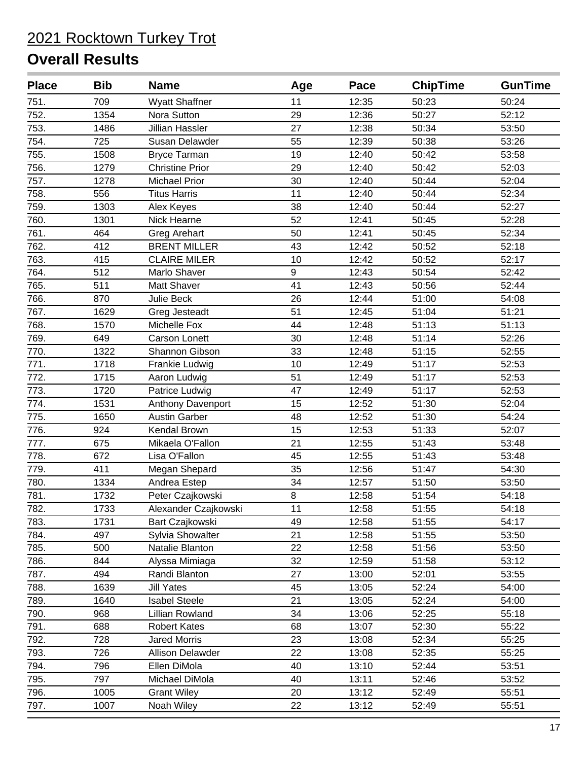| <b>Place</b> | <b>Bib</b> | <b>Name</b>            | Age | Pace  | <b>ChipTime</b> | <b>GunTime</b> |
|--------------|------------|------------------------|-----|-------|-----------------|----------------|
| 751.         | 709        | <b>Wyatt Shaffner</b>  | 11  | 12:35 | 50:23           | 50:24          |
| 752.         | 1354       | Nora Sutton            | 29  | 12:36 | 50:27           | 52:12          |
| 753.         | 1486       | Jillian Hassler        | 27  | 12:38 | 50:34           | 53:50          |
| 754.         | 725        | Susan Delawder         | 55  | 12:39 | 50:38           | 53:26          |
| 755.         | 1508       | <b>Bryce Tarman</b>    | 19  | 12:40 | 50:42           | 53:58          |
| 756.         | 1279       | <b>Christine Prior</b> | 29  | 12:40 | 50:42           | 52:03          |
| 757.         | 1278       | <b>Michael Prior</b>   | 30  | 12:40 | 50:44           | 52:04          |
| 758.         | 556        | <b>Titus Harris</b>    | 11  | 12:40 | 50:44           | 52:34          |
| 759.         | 1303       | Alex Keyes             | 38  | 12:40 | 50:44           | 52:27          |
| 760.         | 1301       | Nick Hearne            | 52  | 12:41 | 50:45           | 52:28          |
| 761.         | 464        | <b>Greg Arehart</b>    | 50  | 12:41 | 50:45           | 52:34          |
| 762.         | 412        | <b>BRENT MILLER</b>    | 43  | 12:42 | 50:52           | 52:18          |
| 763.         | 415        | <b>CLAIRE MILER</b>    | 10  | 12:42 | 50:52           | 52:17          |
| 764.         | 512        | Marlo Shaver           | 9   | 12:43 | 50:54           | 52:42          |
| 765.         | 511        | Matt Shaver            | 41  | 12:43 | 50:56           | 52:44          |
| 766.         | 870        | <b>Julie Beck</b>      | 26  | 12:44 | 51:00           | 54:08          |
| 767.         | 1629       | Greg Jesteadt          | 51  | 12:45 | 51:04           | 51:21          |
| 768.         | 1570       | Michelle Fox           | 44  | 12:48 | 51:13           | 51:13          |
| 769.         | 649        | <b>Carson Lonett</b>   | 30  | 12:48 | 51:14           | 52:26          |
| 770.         | 1322       | Shannon Gibson         | 33  | 12:48 | 51:15           | 52:55          |
| 771.         | 1718       | Frankie Ludwig         | 10  | 12:49 | 51:17           | 52:53          |
| 772.         | 1715       | Aaron Ludwig           | 51  | 12:49 | 51:17           | 52:53          |
| 773.         | 1720       | Patrice Ludwig         | 47  | 12:49 | 51:17           | 52:53          |
| 774.         | 1531       | Anthony Davenport      | 15  | 12:52 | 51:30           | 52:04          |
| 775.         | 1650       | <b>Austin Garber</b>   | 48  | 12:52 | 51:30           | 54:24          |
| 776.         | 924        | Kendal Brown           | 15  | 12:53 | 51:33           | 52:07          |
| 777.         | 675        | Mikaela O'Fallon       | 21  | 12:55 | 51:43           | 53:48          |
| 778.         | 672        | Lisa O'Fallon          | 45  | 12:55 | 51:43           | 53:48          |
| 779.         | 411        | Megan Shepard          | 35  | 12:56 | 51:47           | 54:30          |
| 780.         | 1334       | Andrea Estep           | 34  | 12:57 | 51:50           | 53:50          |
| 781.         | 1732       | Peter Czajkowski       | 8   | 12:58 | 51:54           | 54:18          |
| 782.         | 1733       | Alexander Czajkowski   | 11  | 12:58 | 51:55           | 54:18          |
| 783.         | 1731       | Bart Czajkowski        | 49  | 12:58 | 51:55           | 54:17          |
| 784.         | 497        | Sylvia Showalter       | 21  | 12:58 | 51:55           | 53:50          |
| 785.         | 500        | Natalie Blanton        | 22  | 12:58 | 51:56           | 53:50          |
| 786.         | 844        | Alyssa Mimiaga         | 32  | 12:59 | 51:58           | 53:12          |
| 787.         | 494        | Randi Blanton          | 27  | 13:00 | 52:01           | 53:55          |
| 788.         | 1639       | <b>Jill Yates</b>      | 45  | 13:05 | 52:24           | 54:00          |
| 789.         | 1640       | <b>Isabel Steele</b>   | 21  | 13:05 | 52:24           | 54:00          |
| 790.         | 968        | Lillian Rowland        | 34  | 13:06 | 52:25           | 55:18          |
| 791.         | 688        | <b>Robert Kates</b>    | 68  | 13:07 | 52:30           | 55:22          |
| 792.         | 728        | <b>Jared Morris</b>    | 23  | 13:08 | 52:34           | 55:25          |
| 793.         | 726        | Allison Delawder       | 22  | 13:08 | 52:35           | 55:25          |
| 794.         | 796        | Ellen DiMola           | 40  | 13:10 | 52:44           | 53:51          |
| 795.         | 797        | Michael DiMola         | 40  | 13:11 | 52:46           | 53:52          |
| 796.         | 1005       | <b>Grant Wiley</b>     | 20  | 13:12 | 52:49           | 55:51          |
| 797.         | 1007       | Noah Wiley             | 22  | 13:12 | 52:49           | 55:51          |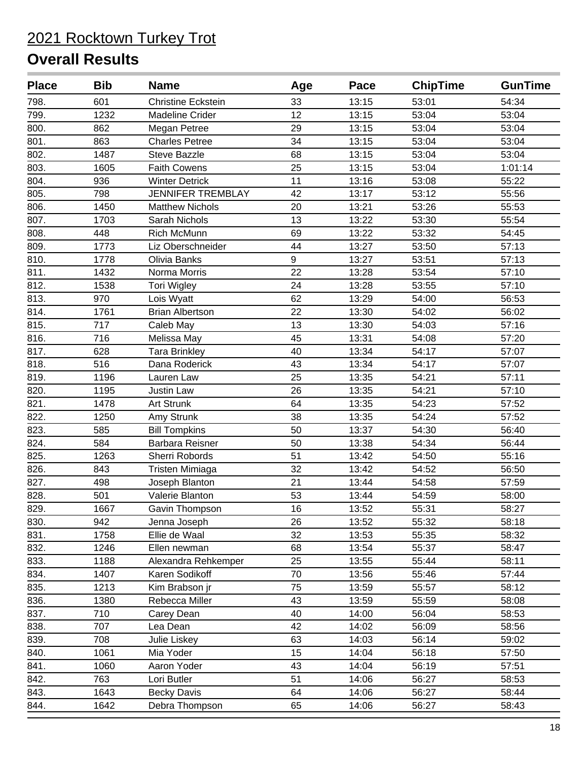| <b>Place</b> | <b>Bib</b> | <b>Name</b>               | Age | Pace  | <b>ChipTime</b> | <b>GunTime</b> |
|--------------|------------|---------------------------|-----|-------|-----------------|----------------|
| 798.         | 601        | <b>Christine Eckstein</b> | 33  | 13:15 | 53:01           | 54:34          |
| 799.         | 1232       | <b>Madeline Crider</b>    | 12  | 13:15 | 53:04           | 53:04          |
| 800.         | 862        | Megan Petree              | 29  | 13:15 | 53:04           | 53:04          |
| 801.         | 863        | <b>Charles Petree</b>     | 34  | 13:15 | 53:04           | 53:04          |
| 802.         | 1487       | <b>Steve Bazzle</b>       | 68  | 13:15 | 53:04           | 53:04          |
| 803.         | 1605       | <b>Faith Cowens</b>       | 25  | 13:15 | 53:04           | 1:01:14        |
| 804.         | 936        | <b>Winter Detrick</b>     | 11  | 13:16 | 53:08           | 55:22          |
| 805.         | 798        | <b>JENNIFER TREMBLAY</b>  | 42  | 13:17 | 53:12           | 55:56          |
| 806.         | 1450       | <b>Matthew Nichols</b>    | 20  | 13:21 | 53:26           | 55:53          |
| 807.         | 1703       | Sarah Nichols             | 13  | 13:22 | 53:30           | 55:54          |
| 808.         | 448        | <b>Rich McMunn</b>        | 69  | 13:22 | 53:32           | 54:45          |
| 809.         | 1773       | Liz Oberschneider         | 44  | 13:27 | 53:50           | 57:13          |
| 810.         | 1778       | Olivia Banks              | 9   | 13:27 | 53:51           | 57:13          |
| 811.         | 1432       | Norma Morris              | 22  | 13:28 | 53:54           | 57:10          |
| 812.         | 1538       | Tori Wigley               | 24  | 13:28 | 53:55           | 57:10          |
| 813.         | 970        | Lois Wyatt                | 62  | 13:29 | 54:00           | 56:53          |
| 814.         | 1761       | <b>Brian Albertson</b>    | 22  | 13:30 | 54:02           | 56:02          |
| 815.         | 717        | Caleb May                 | 13  | 13:30 | 54:03           | 57:16          |
| 816.         | 716        | Melissa May               | 45  | 13:31 | 54:08           | 57:20          |
| 817.         | 628        | <b>Tara Brinkley</b>      | 40  | 13:34 | 54:17           | 57:07          |
| 818.         | 516        | Dana Roderick             | 43  | 13:34 | 54:17           | 57:07          |
| 819.         | 1196       | Lauren Law                | 25  | 13:35 | 54:21           | 57:11          |
| 820.         | 1195       | <b>Justin Law</b>         | 26  | 13:35 | 54:21           | 57:10          |
| 821.         | 1478       | Art Strunk                | 64  | 13:35 | 54:23           | 57:52          |
| 822.         | 1250       | Amy Strunk                | 38  | 13:35 | 54:24           | 57:52          |
| 823.         | 585        | <b>Bill Tompkins</b>      | 50  | 13:37 | 54:30           | 56:40          |
| 824.         | 584        | Barbara Reisner           | 50  | 13:38 | 54:34           | 56:44          |
| 825.         | 1263       | Sherri Robords            | 51  | 13:42 | 54:50           | 55:16          |
| 826.         | 843        | Tristen Mimiaga           | 32  | 13:42 | 54:52           | 56:50          |
| 827.         | 498        | Joseph Blanton            | 21  | 13:44 | 54:58           | 57:59          |
| 828.         | 501        | Valerie Blanton           | 53  | 13:44 | 54:59           | 58:00          |
| 829.         | 1667       | Gavin Thompson            | 16  | 13:52 | 55:31           | 58:27          |
| 830.         | 942        | Jenna Joseph              | 26  | 13:52 | 55:32           | 58:18          |
| 831.         | 1758       | Ellie de Waal             | 32  | 13:53 | 55:35           | 58:32          |
| 832.         | 1246       | Ellen newman              | 68  | 13:54 | 55:37           | 58:47          |
| 833.         | 1188       | Alexandra Rehkemper       | 25  | 13:55 | 55:44           | 58:11          |
| 834.         | 1407       | Karen Sodikoff            | 70  | 13:56 | 55:46           | 57:44          |
| 835.         | 1213       | Kim Brabson jr            | 75  | 13:59 | 55:57           | 58:12          |
| 836.         | 1380       | Rebecca Miller            | 43  | 13:59 | 55:59           | 58:08          |
| 837.         | 710        | Carey Dean                | 40  | 14:00 | 56:04           | 58:53          |
| 838.         | 707        | Lea Dean                  | 42  | 14:02 | 56:09           | 58:56          |
| 839.         | 708        | Julie Liskey              | 63  | 14:03 | 56:14           | 59:02          |
| 840.         | 1061       | Mia Yoder                 | 15  | 14:04 | 56:18           | 57:50          |
| 841.         | 1060       | Aaron Yoder               | 43  | 14:04 | 56:19           | 57:51          |
| 842.         | 763        | Lori Butler               | 51  | 14:06 | 56:27           | 58:53          |
| 843.         | 1643       | <b>Becky Davis</b>        | 64  | 14:06 | 56:27           | 58:44          |
| 844.         | 1642       | Debra Thompson            | 65  | 14:06 | 56:27           | 58:43          |
|              |            |                           |     |       |                 |                |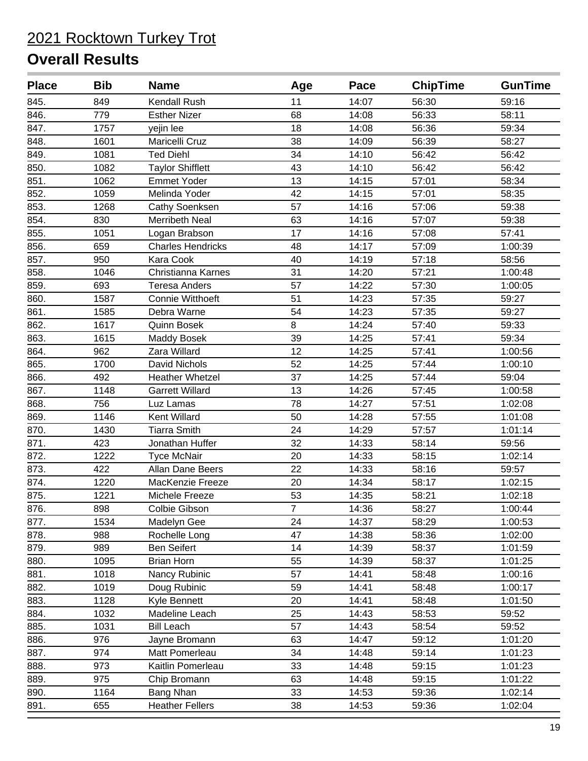| <b>Place</b> | <b>Bib</b> | <b>Name</b>              | Age            | Pace  | <b>ChipTime</b> | <b>GunTime</b> |
|--------------|------------|--------------------------|----------------|-------|-----------------|----------------|
| 845.         | 849        | Kendall Rush             | 11             | 14:07 | 56:30           | 59:16          |
| 846.         | 779        | <b>Esther Nizer</b>      | 68             | 14:08 | 56:33           | 58:11          |
| 847.         | 1757       | yejin lee                | 18             | 14:08 | 56:36           | 59:34          |
| 848.         | 1601       | Maricelli Cruz           | 38             | 14:09 | 56:39           | 58:27          |
| 849.         | 1081       | <b>Ted Diehl</b>         | 34             | 14:10 | 56:42           | 56:42          |
| 850.         | 1082       | <b>Taylor Shifflett</b>  | 43             | 14:10 | 56:42           | 56:42          |
| 851.         | 1062       | <b>Emmet Yoder</b>       | 13             | 14:15 | 57:01           | 58:34          |
| 852.         | 1059       | Melinda Yoder            | 42             | 14:15 | 57:01           | 58:35          |
| 853.         | 1268       | Cathy Soenksen           | 57             | 14:16 | 57:06           | 59:38          |
| 854.         | 830        | <b>Merribeth Neal</b>    | 63             | 14:16 | 57:07           | 59:38          |
| 855.         | 1051       | Logan Brabson            | 17             | 14:16 | 57:08           | 57:41          |
| 856.         | 659        | <b>Charles Hendricks</b> | 48             | 14:17 | 57:09           | 1:00:39        |
| 857.         | 950        | Kara Cook                | 40             | 14:19 | 57:18           | 58:56          |
| 858.         | 1046       | Christianna Karnes       | 31             | 14:20 | 57:21           | 1:00:48        |
| 859.         | 693        | <b>Teresa Anders</b>     | 57             | 14:22 | 57:30           | 1:00:05        |
| 860.         | 1587       | Connie Witthoeft         | 51             | 14:23 | 57:35           | 59:27          |
| 861.         | 1585       | Debra Warne              | 54             | 14:23 | 57:35           | 59:27          |
| 862.         | 1617       | Quinn Bosek              | 8              | 14:24 | 57:40           | 59:33          |
| 863.         | 1615       | Maddy Bosek              | 39             | 14:25 | 57:41           | 59:34          |
| 864.         | 962        | Zara Willard             | 12             | 14:25 | 57:41           | 1:00:56        |
| 865.         | 1700       | David Nichols            | 52             | 14:25 | 57:44           | 1:00:10        |
| 866.         | 492        | <b>Heather Whetzel</b>   | 37             | 14:25 | 57:44           | 59:04          |
| 867.         | 1148       | <b>Garrett Willard</b>   | 13             | 14:26 | 57:45           | 1:00:58        |
| 868.         | 756        | Luz Lamas                | 78             | 14:27 | 57:51           | 1:02:08        |
| 869.         | 1146       | Kent Willard             | 50             | 14:28 | 57:55           | 1:01:08        |
| 870.         | 1430       | <b>Tiarra Smith</b>      | 24             | 14:29 | 57:57           | 1:01:14        |
| 871.         | 423        | Jonathan Huffer          | 32             | 14:33 | 58:14           | 59:56          |
| 872.         | 1222       | <b>Tyce McNair</b>       | 20             | 14:33 | 58:15           | 1:02:14        |
| 873.         | 422        | Allan Dane Beers         | 22             | 14:33 | 58:16           | 59:57          |
| 874.         | 1220       | MacKenzie Freeze         | 20             | 14:34 | 58:17           | 1:02:15        |
| 875.         | 1221       | Michele Freeze           | 53             | 14:35 | 58:21           | 1:02:18        |
| 876.         | 898        | Colbie Gibson            | $\overline{7}$ | 14:36 | 58:27           | 1:00:44        |
| 877.         | 1534       | Madelyn Gee              | 24             | 14:37 | 58:29           | 1:00:53        |
| 878.         | 988        | Rochelle Long            | 47             | 14:38 | 58:36           | 1:02:00        |
| 879.         | 989        | <b>Ben Seifert</b>       | 14             | 14:39 | 58:37           | 1:01:59        |
| 880.         | 1095       | <b>Brian Horn</b>        | 55             | 14:39 | 58:37           | 1:01:25        |
| 881.         | 1018       | Nancy Rubinic            | 57             | 14:41 | 58:48           | 1:00:16        |
| 882.         | 1019       | Doug Rubinic             | 59             | 14:41 | 58:48           | 1:00:17        |
| 883.         | 1128       | Kyle Bennett             | 20             | 14:41 | 58:48           | 1:01:50        |
| 884.         | 1032       | Madeline Leach           | 25             | 14:43 | 58:53           | 59:52          |
| 885.         | 1031       | <b>Bill Leach</b>        | 57             | 14:43 | 58:54           | 59:52          |
| 886.         | 976        | Jayne Bromann            | 63             | 14:47 | 59:12           | 1:01:20        |
| 887.         | 974        | Matt Pomerleau           | 34             | 14:48 | 59:14           | 1:01:23        |
| 888.         | 973        | Kaitlin Pomerleau        | 33             | 14:48 | 59:15           | 1:01:23        |
| 889.         | 975        | Chip Bromann             | 63             | 14:48 | 59:15           | 1:01:22        |
| 890.         | 1164       | Bang Nhan                | 33             | 14:53 | 59:36           | 1:02:14        |
| 891.         | 655        | <b>Heather Fellers</b>   | 38             | 14:53 | 59:36           | 1:02:04        |
|              |            |                          |                |       |                 |                |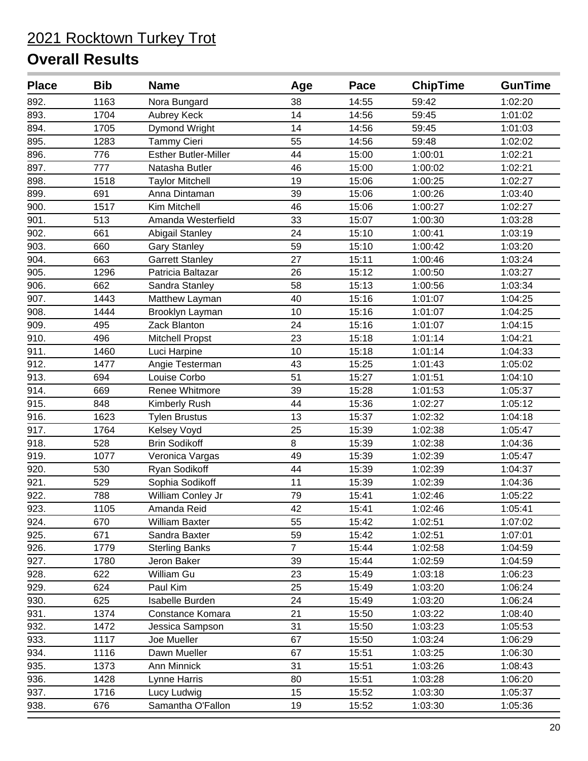| <b>Place</b> | <b>Bib</b> | <b>Name</b>                 | Age | Pace  | <b>ChipTime</b> | <b>GunTime</b> |
|--------------|------------|-----------------------------|-----|-------|-----------------|----------------|
| 892.         | 1163       | Nora Bungard                | 38  | 14:55 | 59:42           | 1:02:20        |
| 893.         | 1704       | <b>Aubrey Keck</b>          | 14  | 14:56 | 59:45           | 1:01:02        |
| 894.         | 1705       | Dymond Wright               | 14  | 14:56 | 59:45           | 1:01:03        |
| 895.         | 1283       | <b>Tammy Cieri</b>          | 55  | 14:56 | 59:48           | 1:02:02        |
| 896.         | 776        | <b>Esther Butler-Miller</b> | 44  | 15:00 | 1:00:01         | 1:02:21        |
| 897.         | 777        | Natasha Butler              | 46  | 15:00 | 1:00:02         | 1:02:21        |
| 898.         | 1518       | <b>Taylor Mitchell</b>      | 19  | 15:06 | 1:00:25         | 1:02:27        |
| 899.         | 691        | Anna Dintaman               | 39  | 15:06 | 1:00:26         | 1:03:40        |
| 900.         | 1517       | Kim Mitchell                | 46  | 15:06 | 1:00:27         | 1:02:27        |
| 901.         | 513        | Amanda Westerfield          | 33  | 15:07 | 1:00:30         | 1:03:28        |
| 902.         | 661        | Abigail Stanley             | 24  | 15:10 | 1:00:41         | 1:03:19        |
| 903.         | 660        | <b>Gary Stanley</b>         | 59  | 15:10 | 1:00:42         | 1:03:20        |
| 904.         | 663        | <b>Garrett Stanley</b>      | 27  | 15:11 | 1:00:46         | 1:03:24        |
| 905.         | 1296       | Patricia Baltazar           | 26  | 15:12 | 1:00:50         | 1:03:27        |
| 906.         | 662        | Sandra Stanley              | 58  | 15:13 | 1:00:56         | 1:03:34        |
| 907.         | 1443       | Matthew Layman              | 40  | 15:16 | 1:01:07         | 1:04:25        |
| 908.         | 1444       | Brooklyn Layman             | 10  | 15:16 | 1:01:07         | 1:04:25        |
| 909.         | 495        | Zack Blanton                | 24  | 15:16 | 1:01:07         | 1:04:15        |
| 910.         | 496        | Mitchell Propst             | 23  | 15:18 | 1:01:14         | 1:04:21        |
| 911.         | 1460       | Luci Harpine                | 10  | 15:18 | 1:01:14         | 1:04:33        |
| 912.         | 1477       | Angie Testerman             | 43  | 15:25 | 1:01:43         | 1:05:02        |
| 913.         | 694        | Louise Corbo                | 51  | 15:27 | 1:01:51         | 1:04:10        |
| 914.         | 669        | Renee Whitmore              | 39  | 15:28 | 1:01:53         | 1:05:37        |
| 915.         | 848        | Kimberly Rush               | 44  | 15:36 | 1:02:27         | 1:05:12        |
| 916.         | 1623       | <b>Tylen Brustus</b>        | 13  | 15:37 | 1:02:32         | 1:04:18        |
| 917.         | 1764       | Kelsey Voyd                 | 25  | 15:39 | 1:02:38         | 1:05:47        |
| 918.         | 528        | <b>Brin Sodikoff</b>        | 8   | 15:39 | 1:02:38         | 1:04:36        |
| 919.         | 1077       | Veronica Vargas             | 49  | 15:39 | 1:02:39         | 1:05:47        |
| 920.         | 530        | Ryan Sodikoff               | 44  | 15:39 | 1:02:39         | 1:04:37        |
| 921.         | 529        | Sophia Sodikoff             | 11  | 15:39 | 1:02:39         | 1:04:36        |
| 922.         | 788        | William Conley Jr           | 79  | 15:41 | 1:02:46         | 1:05:22        |
| 923.         | 1105       | Amanda Reid                 | 42  | 15:41 | 1:02:46         | 1:05:41        |
| 924.         | 670        | <b>William Baxter</b>       | 55  | 15:42 | 1:02:51         | 1:07:02        |
| 925.         | 671        | Sandra Baxter               | 59  | 15:42 | 1:02:51         | 1:07:01        |
| 926.         | 1779       | <b>Sterling Banks</b>       | 7   | 15:44 | 1:02:58         | 1:04:59        |
| 927.         | 1780       | Jeron Baker                 | 39  | 15:44 | 1:02:59         | 1:04:59        |
| 928.         | 622        | William Gu                  | 23  | 15:49 | 1:03:18         | 1:06:23        |
| 929.         | 624        | Paul Kim                    | 25  | 15:49 | 1:03:20         | 1:06:24        |
| 930.         | 625        | Isabelle Burden             | 24  | 15:49 | 1:03:20         | 1:06:24        |
| 931.         | 1374       | Constance Komara            | 21  | 15:50 | 1:03:22         | 1:08:40        |
| 932.         | 1472       | Jessica Sampson             | 31  | 15:50 | 1:03:23         | 1:05:53        |
| 933.         | 1117       | Joe Mueller                 | 67  | 15:50 | 1:03:24         | 1:06:29        |
| 934.         | 1116       | Dawn Mueller                | 67  | 15:51 | 1:03:25         | 1:06:30        |
| 935.         | 1373       | Ann Minnick                 | 31  | 15:51 | 1:03:26         | 1:08:43        |
| 936.         | 1428       | Lynne Harris                | 80  | 15:51 | 1:03:28         | 1:06:20        |
| 937.         | 1716       | Lucy Ludwig                 | 15  | 15:52 | 1:03:30         | 1:05:37        |
| 938.         | 676        | Samantha O'Fallon           | 19  | 15:52 | 1:03:30         | 1:05:36        |
|              |            |                             |     |       |                 |                |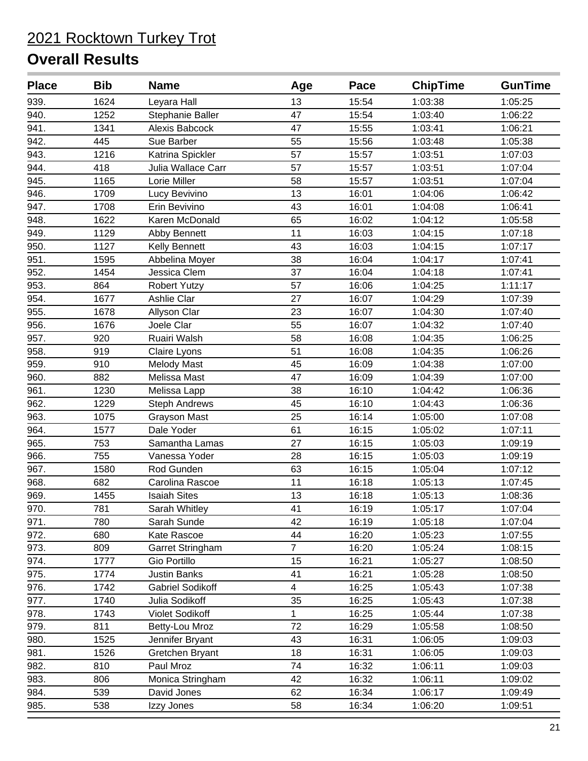| <b>Place</b> | <b>Bib</b> | <b>Name</b>             | Age                     | Pace  | <b>ChipTime</b> | <b>GunTime</b> |
|--------------|------------|-------------------------|-------------------------|-------|-----------------|----------------|
| 939.         | 1624       | Leyara Hall             | 13                      | 15:54 | 1:03:38         | 1:05:25        |
| 940.         | 1252       | Stephanie Baller        | 47                      | 15:54 | 1:03:40         | 1:06:22        |
| 941.         | 1341       | Alexis Babcock          | 47                      | 15:55 | 1:03:41         | 1:06:21        |
| 942.         | 445        | Sue Barber              | 55                      | 15:56 | 1:03:48         | 1:05:38        |
| 943.         | 1216       | Katrina Spickler        | 57                      | 15:57 | 1:03:51         | 1:07:03        |
| 944.         | 418        | Julia Wallace Carr      | 57                      | 15:57 | 1:03:51         | 1:07:04        |
| 945.         | 1165       | Lorie Miller            | 58                      | 15:57 | 1:03:51         | 1:07:04        |
| 946.         | 1709       | Lucy Bevivino           | 13                      | 16:01 | 1:04:06         | 1:06:42        |
| 947.         | 1708       | Erin Bevivino           | 43                      | 16:01 | 1:04:08         | 1:06:41        |
| 948.         | 1622       | Karen McDonald          | 65                      | 16:02 | 1:04:12         | 1:05:58        |
| 949.         | 1129       | Abby Bennett            | 11                      | 16:03 | 1:04:15         | 1:07:18        |
| 950.         | 1127       | Kelly Bennett           | 43                      | 16:03 | 1:04:15         | 1:07:17        |
| 951.         | 1595       | Abbelina Moyer          | 38                      | 16:04 | 1:04:17         | 1:07:41        |
| 952.         | 1454       | Jessica Clem            | 37                      | 16:04 | 1:04:18         | 1:07:41        |
| 953.         | 864        | <b>Robert Yutzy</b>     | 57                      | 16:06 | 1:04:25         | 1:11:17        |
| 954.         | 1677       | Ashlie Clar             | 27                      | 16:07 | 1:04:29         | 1:07:39        |
| 955.         | 1678       | Allyson Clar            | 23                      | 16:07 | 1:04:30         | 1:07:40        |
| 956.         | 1676       | Joele Clar              | 55                      | 16:07 | 1:04:32         | 1:07:40        |
| 957.         | 920        | Ruairi Walsh            | 58                      | 16:08 | 1:04:35         | 1:06:25        |
| 958.         | 919        | Claire Lyons            | 51                      | 16:08 | 1:04:35         | 1:06:26        |
| 959.         | 910        | <b>Melody Mast</b>      | 45                      | 16:09 | 1:04:38         | 1:07:00        |
| 960.         | 882        | Melissa Mast            | 47                      | 16:09 | 1:04:39         | 1:07:00        |
| 961.         | 1230       | Melissa Lapp            | 38                      | 16:10 | 1:04:42         | 1:06:36        |
| 962.         | 1229       | <b>Steph Andrews</b>    | 45                      | 16:10 | 1:04:43         | 1:06:36        |
| 963.         | 1075       | <b>Grayson Mast</b>     | 25                      | 16:14 | 1:05:00         | 1:07:08        |
| 964.         | 1577       | Dale Yoder              | 61                      | 16:15 | 1:05:02         | 1:07:11        |
| 965.         | 753        | Samantha Lamas          | 27                      | 16:15 | 1:05:03         | 1:09:19        |
| 966.         | 755        | Vanessa Yoder           | 28                      | 16:15 | 1:05:03         | 1:09:19        |
| 967.         | 1580       | Rod Gunden              | 63                      | 16:15 | 1:05:04         | 1:07:12        |
| 968.         | 682        | Carolina Rascoe         | 11                      | 16:18 | 1:05:13         | 1:07:45        |
| 969.         | 1455       | <b>Isaiah Sites</b>     | 13                      | 16:18 | 1:05:13         | 1:08:36        |
| 970.         | 781        | Sarah Whitley           | 41                      | 16:19 | 1:05:17         | 1:07:04        |
| 971.         | 780        | Sarah Sunde             | 42                      | 16:19 | 1:05:18         | 1:07:04        |
| 972.         | 680        | Kate Rascoe             | 44                      | 16:20 | 1:05:23         | 1:07:55        |
| 973.         | 809        | Garret Stringham        | 7                       | 16:20 | 1:05:24         | 1:08:15        |
| 974.         | 1777       | Gio Portillo            | 15                      | 16:21 | 1:05:27         | 1:08:50        |
| 975.         | 1774       | <b>Justin Banks</b>     | 41                      | 16:21 | 1:05:28         | 1:08:50        |
| 976.         | 1742       | <b>Gabriel Sodikoff</b> | $\overline{\mathbf{4}}$ | 16:25 | 1:05:43         | 1:07:38        |
| 977.         | 1740       | Julia Sodikoff          | 35                      | 16:25 | 1:05:43         | 1:07:38        |
| 978.         | 1743       | Violet Sodikoff         | 1                       | 16:25 | 1:05:44         | 1:07:38        |
| 979.         | 811        | Betty-Lou Mroz          | 72                      | 16:29 | 1:05:58         | 1:08:50        |
| 980.         | 1525       | Jennifer Bryant         | 43                      | 16:31 | 1:06:05         | 1:09:03        |
| 981.         | 1526       | Gretchen Bryant         | 18                      | 16:31 | 1:06:05         | 1:09:03        |
| 982.         | 810        | Paul Mroz               | 74                      | 16:32 | 1:06:11         | 1:09:03        |
| 983.         | 806        | Monica Stringham        | 42                      | 16:32 | 1:06:11         | 1:09:02        |
| 984.         | 539        | David Jones             | 62                      | 16:34 | 1:06:17         | 1:09:49        |
| 985.         | 538        | Izzy Jones              | 58                      | 16:34 | 1:06:20         | 1:09:51        |
|              |            |                         |                         |       |                 |                |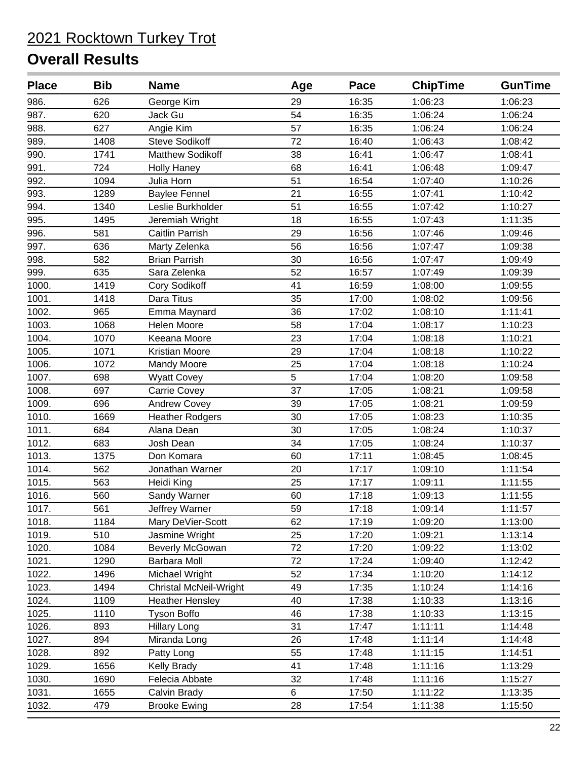| <b>Place</b> | <b>Bib</b> | <b>Name</b>                   | Age | Pace  | <b>ChipTime</b> | <b>GunTime</b> |
|--------------|------------|-------------------------------|-----|-------|-----------------|----------------|
| 986.         | 626        | George Kim                    | 29  | 16:35 | 1:06:23         | 1:06:23        |
| 987.         | 620        | Jack Gu                       | 54  | 16:35 | 1:06:24         | 1:06:24        |
| 988.         | 627        | Angie Kim                     | 57  | 16:35 | 1:06:24         | 1:06:24        |
| 989.         | 1408       | <b>Steve Sodikoff</b>         | 72  | 16:40 | 1:06:43         | 1:08:42        |
| 990.         | 1741       | Matthew Sodikoff              | 38  | 16:41 | 1:06:47         | 1:08:41        |
| 991.         | 724        | <b>Holly Haney</b>            | 68  | 16:41 | 1:06:48         | 1:09:47        |
| 992.         | 1094       | Julia Horn                    | 51  | 16:54 | 1:07:40         | 1:10:26        |
| 993.         | 1289       | <b>Baylee Fennel</b>          | 21  | 16:55 | 1:07:41         | 1:10:42        |
| 994.         | 1340       | Leslie Burkholder             | 51  | 16:55 | 1:07:42         | 1:10:27        |
| 995.         | 1495       | Jeremiah Wright               | 18  | 16:55 | 1:07:43         | 1:11:35        |
| 996.         | 581        | Caitlin Parrish               | 29  | 16:56 | 1:07:46         | 1:09:46        |
| 997.         | 636        | Marty Zelenka                 | 56  | 16:56 | 1:07:47         | 1:09:38        |
| 998.         | 582        | <b>Brian Parrish</b>          | 30  | 16:56 | 1:07:47         | 1:09:49        |
| 999.         | 635        | Sara Zelenka                  | 52  | 16:57 | 1:07:49         | 1:09:39        |
| 1000.        | 1419       | Cory Sodikoff                 | 41  | 16:59 | 1:08:00         | 1:09:55        |
| 1001.        | 1418       | Dara Titus                    | 35  | 17:00 | 1:08:02         | 1:09:56        |
| 1002.        | 965        | Emma Maynard                  | 36  | 17:02 | 1:08:10         | 1:11:41        |
| 1003.        | 1068       | Helen Moore                   | 58  | 17:04 | 1:08:17         | 1:10:23        |
| 1004.        | 1070       | Keeana Moore                  | 23  | 17:04 | 1:08:18         | 1:10:21        |
| 1005.        | 1071       | Kristian Moore                | 29  | 17:04 | 1:08:18         | 1:10:22        |
| 1006.        | 1072       | Mandy Moore                   | 25  | 17:04 | 1:08:18         | 1:10:24        |
| 1007.        | 698        | <b>Wyatt Covey</b>            | 5   | 17:04 | 1:08:20         | 1:09:58        |
| 1008.        | 697        | <b>Carrie Covey</b>           | 37  | 17:05 | 1:08:21         | 1:09:58        |
| 1009.        | 696        | <b>Andrew Covey</b>           | 39  | 17:05 | 1:08:21         | 1:09:59        |
| 1010.        | 1669       | <b>Heather Rodgers</b>        | 30  | 17:05 | 1:08:23         | 1:10:35        |
| 1011.        | 684        | Alana Dean                    | 30  | 17:05 | 1:08:24         | 1:10:37        |
| 1012.        | 683        | Josh Dean                     | 34  | 17:05 | 1:08:24         | 1:10:37        |
| 1013.        | 1375       | Don Komara                    | 60  | 17:11 | 1:08:45         | 1:08:45        |
| 1014.        | 562        | Jonathan Warner               | 20  | 17:17 | 1:09:10         | 1:11:54        |
| 1015.        | 563        | Heidi King                    | 25  | 17:17 | 1:09:11         | 1:11:55        |
| 1016.        | 560        | Sandy Warner                  | 60  | 17:18 | 1:09:13         | 1:11:55        |
| 1017.        | 561        | Jeffrey Warner                | 59  | 17:18 | 1:09:14         | 1:11:57        |
| 1018.        | 1184       | Mary DeVier-Scott             | 62  | 17:19 | 1:09:20         | 1:13:00        |
| 1019.        | 510        | Jasmine Wright                | 25  | 17:20 | 1:09:21         | 1:13:14        |
| 1020.        | 1084       | <b>Beverly McGowan</b>        | 72  | 17:20 | 1:09:22         | 1:13:02        |
| 1021.        | 1290       | <b>Barbara Moll</b>           | 72  | 17:24 | 1:09:40         | 1:12:42        |
| 1022.        | 1496       | Michael Wright                | 52  | 17:34 | 1:10:20         | 1:14:12        |
| 1023.        | 1494       | <b>Christal McNeil-Wright</b> | 49  | 17:35 | 1:10:24         | 1:14:16        |
| 1024.        | 1109       | <b>Heather Hensley</b>        | 40  | 17:38 | 1:10:33         | 1:13:16        |
| 1025.        | 1110       | <b>Tyson Boffo</b>            | 46  | 17:38 | 1:10:33         | 1:13:15        |
| 1026.        | 893        | <b>Hillary Long</b>           | 31  | 17:47 | 1:11:11         | 1:14:48        |
| 1027.        | 894        | Miranda Long                  | 26  | 17:48 | 1:11:14         | 1:14:48        |
| 1028.        | 892        | Patty Long                    | 55  | 17:48 | 1:11:15         | 1:14:51        |
| 1029.        | 1656       | <b>Kelly Brady</b>            | 41  | 17:48 | 1:11:16         | 1:13:29        |
| 1030.        | 1690       | Felecia Abbate                | 32  | 17:48 | 1:11:16         | 1:15:27        |
| 1031.        | 1655       | Calvin Brady                  | 6   | 17:50 | 1:11:22         | 1:13:35        |
| 1032.        | 479        | <b>Brooke Ewing</b>           | 28  | 17:54 | 1:11:38         | 1:15:50        |
|              |            |                               |     |       |                 |                |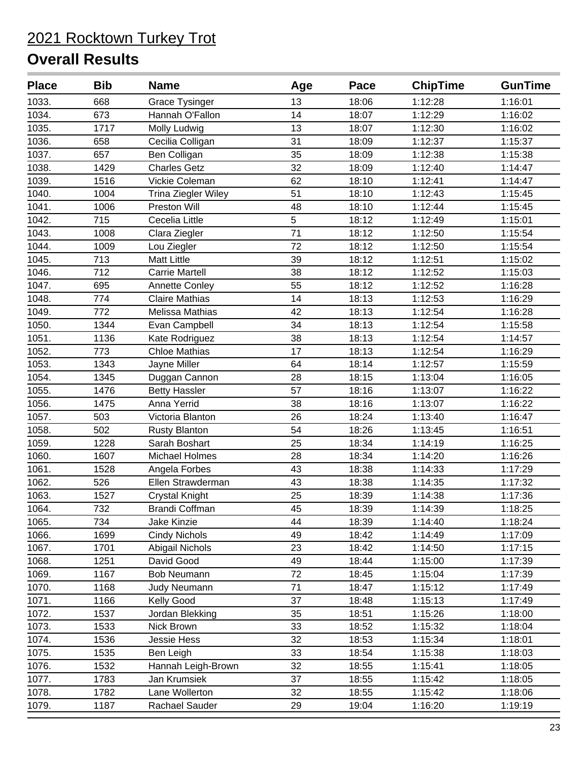| <b>Place</b> | <b>Bib</b> | <b>Name</b>                | Age | Pace  | <b>ChipTime</b> | <b>GunTime</b> |
|--------------|------------|----------------------------|-----|-------|-----------------|----------------|
| 1033.        | 668        | <b>Grace Tysinger</b>      | 13  | 18:06 | 1:12:28         | 1:16:01        |
| 1034.        | 673        | Hannah O'Fallon            | 14  | 18:07 | 1:12:29         | 1:16:02        |
| 1035.        | 1717       | Molly Ludwig               | 13  | 18:07 | 1:12:30         | 1:16:02        |
| 1036.        | 658        | Cecilia Colligan           | 31  | 18:09 | 1:12:37         | 1:15:37        |
| 1037.        | 657        | Ben Colligan               | 35  | 18:09 | 1:12:38         | 1:15:38        |
| 1038.        | 1429       | <b>Charles Getz</b>        | 32  | 18:09 | 1:12:40         | 1:14:47        |
| 1039.        | 1516       | Vickie Coleman             | 62  | 18:10 | 1:12:41         | 1:14:47        |
| 1040.        | 1004       | <b>Trina Ziegler Wiley</b> | 51  | 18:10 | 1:12:43         | 1:15:45        |
| 1041.        | 1006       | Preston Will               | 48  | 18:10 | 1:12:44         | 1:15:45        |
| 1042.        | 715        | Cecelia Little             | 5   | 18:12 | 1:12:49         | 1:15:01        |
| 1043.        | 1008       | Clara Ziegler              | 71  | 18:12 | 1:12:50         | 1:15:54        |
| 1044.        | 1009       | Lou Ziegler                | 72  | 18:12 | 1:12:50         | 1:15:54        |
| 1045.        | 713        | <b>Matt Little</b>         | 39  | 18:12 | 1:12:51         | 1:15:02        |
| 1046.        | 712        | <b>Carrie Martell</b>      | 38  | 18:12 | 1:12:52         | 1:15:03        |
| 1047.        | 695        | <b>Annette Conley</b>      | 55  | 18:12 | 1:12:52         | 1:16:28        |
| 1048.        | 774        | <b>Claire Mathias</b>      | 14  | 18:13 | 1:12:53         | 1:16:29        |
| 1049.        | 772        | Melissa Mathias            | 42  | 18:13 | 1:12:54         | 1:16:28        |
| 1050.        | 1344       | Evan Campbell              | 34  | 18:13 | 1:12:54         | 1:15:58        |
| 1051.        | 1136       | Kate Rodriguez             | 38  | 18:13 | 1:12:54         | 1:14:57        |
| 1052.        | 773        | <b>Chloe Mathias</b>       | 17  | 18:13 | 1:12:54         | 1:16:29        |
| 1053.        | 1343       | Jayne Miller               | 64  | 18:14 | 1:12:57         | 1:15:59        |
| 1054.        | 1345       | Duggan Cannon              | 28  | 18:15 | 1:13:04         | 1:16:05        |
| 1055.        | 1476       | <b>Betty Hassler</b>       | 57  | 18:16 | 1:13:07         | 1:16:22        |
| 1056.        | 1475       | Anna Yerrid                | 38  | 18:16 | 1:13:07         | 1:16:22        |
| 1057.        | 503        | Victoria Blanton           | 26  | 18:24 | 1:13:40         | 1:16:47        |
| 1058.        | 502        | <b>Rusty Blanton</b>       | 54  | 18:26 | 1:13:45         | 1:16:51        |
| 1059.        | 1228       | Sarah Boshart              | 25  | 18:34 | 1:14:19         | 1:16:25        |
| 1060.        | 1607       | Michael Holmes             | 28  | 18:34 | 1:14:20         | 1:16:26        |
| 1061.        | 1528       | Angela Forbes              | 43  | 18:38 | 1:14:33         | 1:17:29        |
| 1062.        | 526        | Ellen Strawderman          | 43  | 18:38 | 1:14:35         | 1:17:32        |
| 1063.        | 1527       | <b>Crystal Knight</b>      | 25  | 18:39 | 1:14:38         | 1:17:36        |
| 1064.        | 732        | <b>Brandi Coffman</b>      | 45  | 18:39 | 1:14:39         | 1:18:25        |
| 1065.        | 734        | Jake Kinzie                | 44  | 18:39 | 1:14:40         | 1:18:24        |
| 1066.        | 1699       | <b>Cindy Nichols</b>       | 49  | 18:42 | 1:14:49         | 1:17:09        |
| 1067.        | 1701       | Abigail Nichols            | 23  | 18:42 | 1:14:50         | 1:17:15        |
| 1068.        | 1251       | David Good                 | 49  | 18:44 | 1:15:00         | 1:17:39        |
| 1069.        | 1167       | <b>Bob Neumann</b>         | 72  | 18:45 | 1:15:04         | 1:17:39        |
| 1070.        | 1168       | <b>Judy Neumann</b>        | 71  | 18:47 | 1:15:12         | 1:17:49        |
| 1071.        | 1166       | Kelly Good                 | 37  | 18:48 | 1:15:13         | 1:17:49        |
| 1072.        | 1537       | Jordan Blekking            | 35  | 18:51 | 1:15:26         | 1:18:00        |
| 1073.        | 1533       | Nick Brown                 | 33  | 18:52 | 1:15:32         | 1:18:04        |
| 1074.        | 1536       | Jessie Hess                | 32  | 18:53 | 1:15:34         | 1:18:01        |
| 1075.        | 1535       | Ben Leigh                  | 33  | 18:54 | 1:15:38         | 1:18:03        |
| 1076.        | 1532       | Hannah Leigh-Brown         | 32  | 18:55 | 1:15:41         | 1:18:05        |
| 1077.        | 1783       | Jan Krumsiek               | 37  | 18:55 | 1:15:42         | 1:18:05        |
| 1078.        | 1782       | Lane Wollerton             | 32  | 18:55 | 1:15:42         | 1:18:06        |
| 1079.        | 1187       | Rachael Sauder             | 29  | 19:04 | 1:16:20         | 1:19:19        |
|              |            |                            |     |       |                 |                |